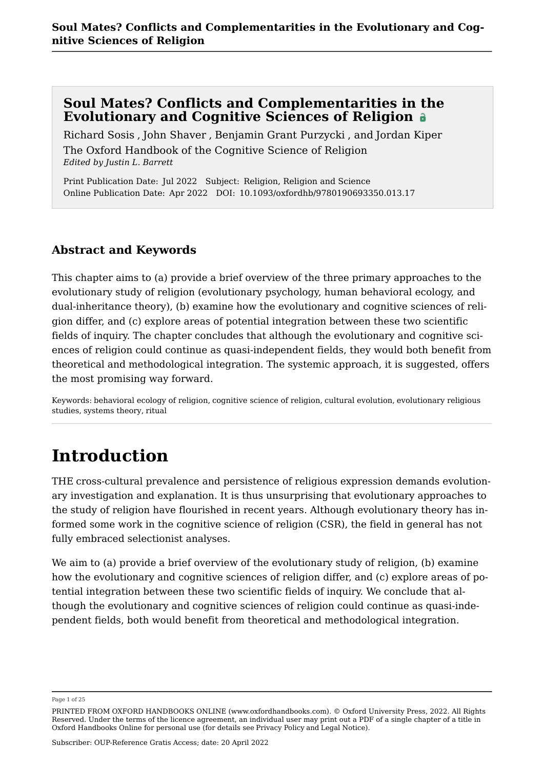Richard Sosis , John Shaver , Benjamin Grant Purzycki , and Jordan Kiper [The Oxford Handbook of the Cognitive Science of Religion](https://www.oxfordhandbooks.com/view/10.1093/oxfordhb/9780190693350.001.0001/oxfordhb-9780190693350) *Edited by Justin L. Barrett*

Print Publication Date: Jul 2022 Subject: Religion, Religion and Science Online Publication Date: Apr 2022 DOI: 10.1093/oxfordhb/9780190693350.013.17

## **Abstract and Keywords**

This chapter aims to (a) provide a brief overview of the three primary approaches to the evolutionary study of religion (evolutionary psychology, human behavioral ecology, and dual-inheritance theory), (b) examine how the evolutionary and cognitive sciences of religion differ, and (c) explore areas of potential integration between these two scientific fields of inquiry. The chapter concludes that although the evolutionary and cognitive sciences of religion could continue as quasi-independent fields, they would both benefit from theoretical and methodological integration. The systemic approach, it is suggested, offers the most promising way forward.

Keywords: [behavioral ecology of religion,](https://www.oxfordhandbooks.com/search?f_0=keyword&q_0=behavioral ecology of religion) [cognitive science of religion,](https://www.oxfordhandbooks.com/search?f_0=keyword&q_0=cognitive science of religion) [cultural evolution,](https://www.oxfordhandbooks.com/search?f_0=keyword&q_0=cultural evolution) [evolutionary religious](https://www.oxfordhandbooks.com/search?f_0=keyword&q_0=evolutionary religious studies) [studies,](https://www.oxfordhandbooks.com/search?f_0=keyword&q_0=evolutionary religious studies) [systems theory,](https://www.oxfordhandbooks.com/search?f_0=keyword&q_0=systems theory) [ritual](https://www.oxfordhandbooks.com/search?f_0=keyword&q_0=ritual)

## **Introduction**

THE cross-cultural prevalence and persistence of religious expression demands evolutionary investigation and explanation. It is thus unsurprising that evolutionary approaches to the study of religion have flourished in recent years. Although evolutionary theory has informed some work in the cognitive science of religion (CSR), the field in general has not fully embraced selectionist analyses.

We aim to (a) provide a brief overview of the evolutionary study of religion, (b) examine how the evolutionary and cognitive sciences of religion differ, and (c) explore areas of potential integration between these two scientific fields of inquiry. We conclude that although the evolutionary and cognitive sciences of religion could continue as quasi-independent fields, both would benefit from theoretical and methodological integration.

Page 1 of 25

PRINTED FROM OXFORD HANDBOOKS ONLINE (www.oxfordhandbooks.com). © Oxford University Press, 2022. All Rights Reserved. Under the terms of the licence agreement, an individual user may print out a PDF of a single chapter of a title in Oxford Handbooks Online for personal use (for details see [Privacy Policy](https://global.oup.com/privacy) and [Legal Notice\)](https://www.oxfordhandbooks.com/page/legal-notice).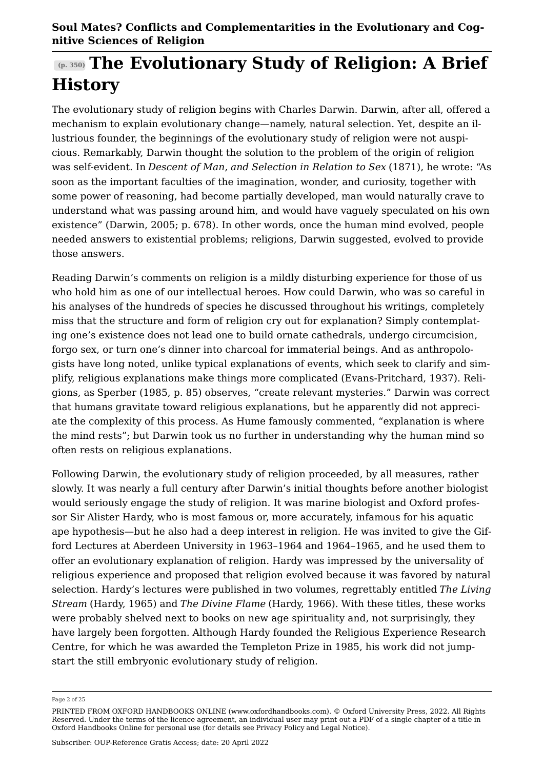# **(p. 350) The Evolutionary Study of Religion: A Brief History**

The evolutionary study of religion begins with Charles Darwin. Darwin, after all, offered a mechanism to explain evolutionary change—namely, natural selection. Yet, despite an illustrious founder, the beginnings of the evolutionary study of religion were not auspicious. Remarkably, Darwin thought the solution to the problem of the origin of religion was self-evident. In *Descent of Man, and Selection in Relation to Sex* (1871), he wrote: "As soon as the important faculties of the imagination, wonder, and curiosity, together with some power of reasoning, had become partially developed, man would naturally crave to understand what was passing around him, and would have vaguely speculated on his own existence" ([Darwin, 2005;](#page-17-0) p. 678). In other words, once the human mind evolved, people needed answers to existential problems; religions, Darwin suggested, evolved to provide those answers.

Reading Darwin's comments on religion is a mildly disturbing experience for those of us who hold him as one of our intellectual heroes. How could Darwin, who was so careful in his analyses of the hundreds of species he discussed throughout his writings, completely miss that the structure and form of religion cry out for explanation? Simply contemplating one's existence does not lead one to build ornate cathedrals, undergo circumcision, forgo sex, or turn one's dinner into charcoal for immaterial beings. And as anthropologists have long noted, unlike typical explanations of events, which seek to clarify and simplify, religious explanations make things more complicated ([Evans-Pritchard, 1937](#page-17-1)). Religions, as [Sperber \(1985](#page-22-0), p. 85) observes, "create relevant mysteries." Darwin was correct that humans gravitate toward religious explanations, but he apparently did not appreciate the complexity of this process. As Hume famously commented, "explanation is where the mind rests"; but Darwin took us no further in understanding why the human mind so often rests on religious explanations.

Following Darwin, the evolutionary study of religion proceeded, by all measures, rather slowly. It was nearly a full century after Darwin's initial thoughts before another biologist would seriously engage the study of religion. It was marine biologist and Oxford professor Sir Alister Hardy, who is most famous or, more accurately, infamous for his aquatic ape hypothesis—but he also had a deep interest in religion. He was invited to give the Gifford Lectures at Aberdeen University in 1963–1964 and 1964–1965, and he used them to offer an evolutionary explanation of religion. Hardy was impressed by the universality of religious experience and proposed that religion evolved because it was favored by natural selection. Hardy's lectures were published in two volumes, regrettably entitled *The Living Stream* [\(Hardy, 1965](#page-17-2)) and *The Divine Flame* ([Hardy, 1966\)](#page-18-0). With these titles, these works were probably shelved next to books on new age spirituality and, not surprisingly, they have largely been forgotten. Although Hardy founded the Religious Experience Research Centre, for which he was awarded the Templeton Prize in 1985, his work did not jumpstart the still embryonic evolutionary study of religion.

Page 2 of 25

PRINTED FROM OXFORD HANDBOOKS ONLINE (www.oxfordhandbooks.com). © Oxford University Press, 2022. All Rights Reserved. Under the terms of the licence agreement, an individual user may print out a PDF of a single chapter of a title in Oxford Handbooks Online for personal use (for details see [Privacy Policy](https://global.oup.com/privacy) and [Legal Notice\)](https://www.oxfordhandbooks.com/page/legal-notice).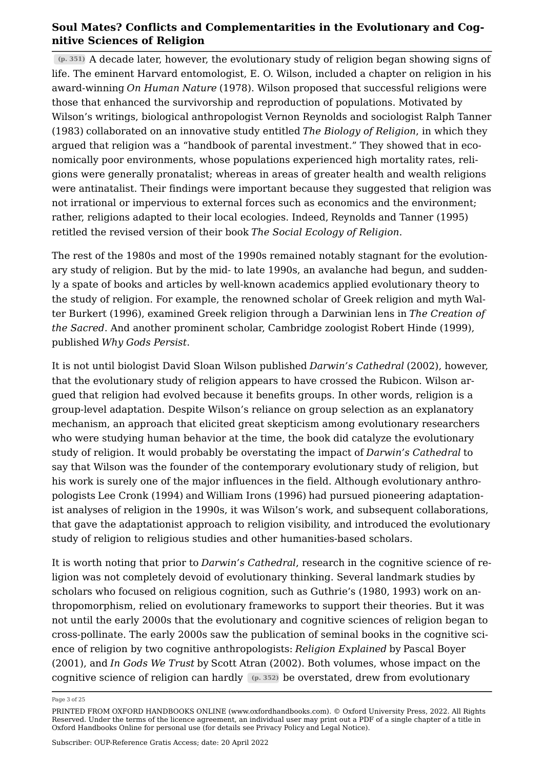**(p. 351)** A decade later, however, the evolutionary study of religion began showing signs of life. The eminent Harvard entomologist, E. O. Wilson, included a chapter on religion in his award-winning *[On Human Nature](#page-23-0)* [\(1978\)](#page-23-0). Wilson proposed that successful religions were those that enhanced the survivorship and reproduction of populations. Motivated by Wilson's writings, biological anthropologist [Vernon Reynolds and sociologist Ralph Tanner](#page-20-0)  [\(1983\)](#page-20-0) collaborated on an innovative study entitled *The Biology of Religion*, in which they argued that religion was a "handbook of parental investment." They showed that in economically poor environments, whose populations experienced high mortality rates, religions were generally pronatalist; whereas in areas of greater health and wealth religions were antinatalist. Their findings were important because they suggested that religion was not irrational or impervious to external forces such as economics and the environment; rather, religions adapted to their local ecologies. Indeed, [Reynolds and Tanner \(1995\)](#page-20-1) retitled the revised version of their book *The Social Ecology of Religion*.

The rest of the 1980s and most of the 1990s remained notably stagnant for the evolutionary study of religion. But by the mid- to late 1990s, an avalanche had begun, and suddenly a spate of books and articles by well-known academics applied evolutionary theory to the study of religion. For example, the renowned scholar of Greek religion and myth [Wal](#page-17-3)[ter Burkert \(1996\),](#page-17-3) examined Greek religion through a Darwinian lens in *The Creation of the Sacred*. And another prominent scholar, Cambridge zoologist [Robert Hinde \(1999\)](#page-18-1), published *Why Gods Persist*.

It is not until biologist David Sloan Wilson published *[Darwin's Cathedral](#page-23-1)* [\(2002\)](#page-23-1), however, that the evolutionary study of religion appears to have crossed the Rubicon. Wilson argued that religion had evolved because it benefits groups. In other words, religion is a group-level adaptation. Despite Wilson's reliance on group selection as an explanatory mechanism, an approach that elicited great skepticism among evolutionary researchers who were studying human behavior at the time, the book did catalyze the evolutionary study of religion. It would probably be overstating the impact of *Darwin's Cathedral* to say that Wilson was the founder of the contemporary evolutionary study of religion, but his work is surely one of the major influences in the field. Although evolutionary anthropologists [Lee Cronk \(1994\)](#page-17-4) and [William Irons \(1996\)](#page-18-2) had pursued pioneering adaptationist analyses of religion in the 1990s, it was Wilson's work, and subsequent collaborations, that gave the adaptationist approach to religion visibility, and introduced the evolutionary study of religion to religious studies and other humanities-based scholars.

It is worth noting that prior to *Darwin's Cathedral*, research in the cognitive science of religion was not completely devoid of evolutionary thinking. Several landmark studies by scholars who focused on religious cognition, such as Guthrie's ([1980](#page-17-5), [1993](#page-17-6)) work on anthropomorphism, relied on evolutionary frameworks to support their theories. But it was not until the early 2000s that the evolutionary and cognitive sciences of religion began to cross-pollinate. The early 2000s saw the publication of seminal books in the cognitive science of religion by two cognitive anthropologists: *Religion Explained* by [Pascal Boyer](#page-16-0)  [\(2001\),](#page-16-0) and *In Gods We Trust* by [Scott Atran \(2002\)](#page-16-1). Both volumes, whose impact on the cognitive science of religion can hardly **(p. 352)** be overstated, drew from evolutionary

Page 3 of 25

PRINTED FROM OXFORD HANDBOOKS ONLINE (www.oxfordhandbooks.com). © Oxford University Press, 2022. All Rights Reserved. Under the terms of the licence agreement, an individual user may print out a PDF of a single chapter of a title in Oxford Handbooks Online for personal use (for details see [Privacy Policy](https://global.oup.com/privacy) and [Legal Notice\)](https://www.oxfordhandbooks.com/page/legal-notice).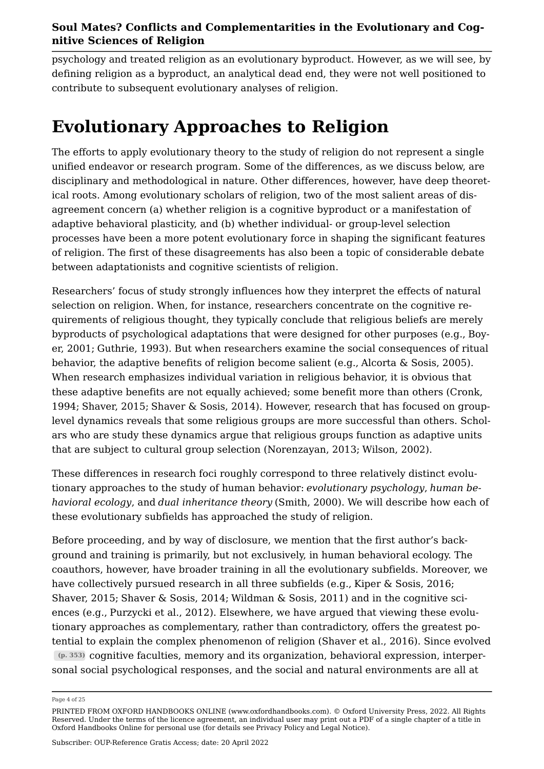psychology and treated religion as an evolutionary byproduct. However, as we will see, by defining religion as a byproduct, an analytical dead end, they were not well positioned to contribute to subsequent evolutionary analyses of religion.

## **Evolutionary Approaches to Religion**

The efforts to apply evolutionary theory to the study of religion do not represent a single unified endeavor or research program. Some of the differences, as we discuss below, are disciplinary and methodological in nature. Other differences, however, have deep theoretical roots. Among evolutionary scholars of religion, two of the most salient areas of disagreement concern (a) whether religion is a cognitive byproduct or a manifestation of adaptive behavioral plasticity, and (b) whether individual- or group-level selection processes have been a more potent evolutionary force in shaping the significant features of religion. The first of these disagreements has also been a topic of considerable debate between adaptationists and cognitive scientists of religion.

Researchers' focus of study strongly influences how they interpret the effects of natural selection on religion. When, for instance, researchers concentrate on the cognitive requirements of religious thought, they typically conclude that religious beliefs are merely byproducts of psychological adaptations that were designed for other purposes (e.g., [Boy](#page-16-0)[er, 2001](#page-16-0); [Guthrie, 1993](#page-17-6)). But when researchers examine the social consequences of ritual behavior, the adaptive benefits of religion become salient (e.g., [Alcorta & Sosis, 2005](#page-16-2)). When research emphasizes individual variation in religious behavior, it is obvious that these adaptive benefits are not equally achieved; some benefit more than others ([Cronk,](#page-17-4) [1994](#page-17-4); [Shaver, 2015](#page-20-2); [Shaver & Sosis, 2014\)](#page-21-0). However, research that has focused on grouplevel dynamics reveals that some religious groups are more successful than others. Scholars who are study these dynamics argue that religious groups function as adaptive units that are subject to cultural group selection ([Norenzayan, 2013](#page-19-0); [Wilson, 2002\)](#page-23-1).

These differences in research foci roughly correspond to three relatively distinct evolutionary approaches to the study of human behavior: *evolutionary psychology*, *human behavioral ecology*, and *dual inheritance theory* ([Smith, 2000\)](#page-21-1). We will describe how each of these evolutionary subfields has approached the study of religion.

Before proceeding, and by way of disclosure, we mention that the first author's background and training is primarily, but not exclusively, in human behavioral ecology. The coauthors, however, have broader training in all the evolutionary subfields. Moreover, we have collectively pursued research in all three subfields (e.g., [Kiper & Sosis, 2016;](#page-18-3) [Shaver, 2015](#page-20-2); [Shaver & Sosis, 2014;](#page-21-0) [Wildman & Sosis, 2011](#page-23-2)) and in the cognitive sciences (e.g., [Purzycki et al., 2012](#page-20-3)). Elsewhere, we have argued that viewing these evolutionary approaches as complementary, rather than contradictory, offers the greatest potential to explain the complex phenomenon of religion [\(Shaver et al., 2016](#page-21-2)). Since evolved **(p. 353)** cognitive faculties, memory and its organization, behavioral expression, interpersonal social psychological responses, and the social and natural environments are all at

Page 4 of 25

PRINTED FROM OXFORD HANDBOOKS ONLINE (www.oxfordhandbooks.com). © Oxford University Press, 2022. All Rights Reserved. Under the terms of the licence agreement, an individual user may print out a PDF of a single chapter of a title in Oxford Handbooks Online for personal use (for details see [Privacy Policy](https://global.oup.com/privacy) and [Legal Notice\)](https://www.oxfordhandbooks.com/page/legal-notice).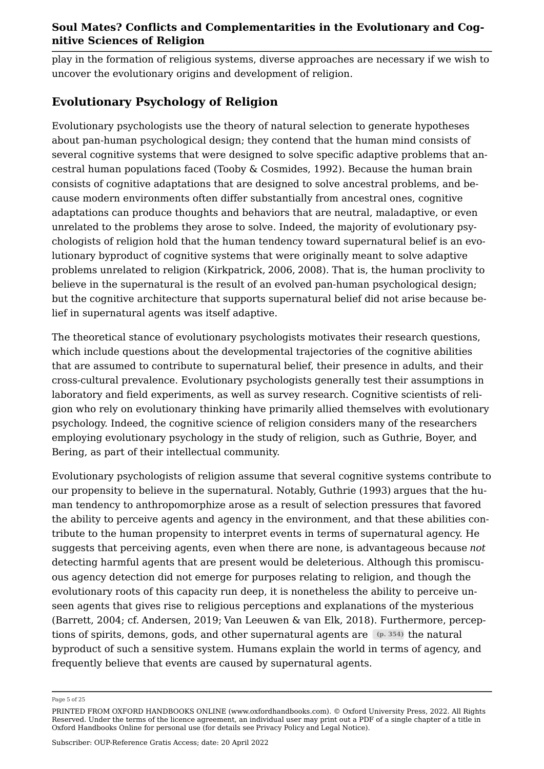play in the formation of religious systems, diverse approaches are necessary if we wish to uncover the evolutionary origins and development of religion.

## **Evolutionary Psychology of Religion**

Evolutionary psychologists use the theory of natural selection to generate hypotheses about pan-human psychological design; they contend that the human mind consists of several cognitive systems that were designed to solve specific adaptive problems that ancestral human populations faced [\(Tooby & Cosmides, 1992](#page-22-1)). Because the human brain consists of cognitive adaptations that are designed to solve ancestral problems, and because modern environments often differ substantially from ancestral ones, cognitive adaptations can produce thoughts and behaviors that are neutral, maladaptive, or even unrelated to the problems they arose to solve. Indeed, the majority of evolutionary psychologists of religion hold that the human tendency toward supernatural belief is an evolutionary byproduct of cognitive systems that were originally meant to solve adaptive problems unrelated to religion (Kirkpatrick, [2006](#page-18-4), [2008\)](#page-18-5). That is, the human proclivity to believe in the supernatural is the result of an evolved pan-human psychological design; but the cognitive architecture that supports supernatural belief did not arise because belief in supernatural agents was itself adaptive.

The theoretical stance of evolutionary psychologists motivates their research questions, which include questions about the developmental trajectories of the cognitive abilities that are assumed to contribute to supernatural belief, their presence in adults, and their cross-cultural prevalence. Evolutionary psychologists generally test their assumptions in laboratory and field experiments, as well as survey research. Cognitive scientists of religion who rely on evolutionary thinking have primarily allied themselves with evolutionary psychology. Indeed, the cognitive science of religion considers many of the researchers employing evolutionary psychology in the study of religion, such as Guthrie, Boyer, and Bering, as part of their intellectual community.

Evolutionary psychologists of religion assume that several cognitive systems contribute to our propensity to believe in the supernatural. Notably, [Guthrie \(1993\)](#page-17-6) argues that the human tendency to anthropomorphize arose as a result of selection pressures that favored the ability to perceive agents and agency in the environment, and that these abilities contribute to the human propensity to interpret events in terms of supernatural agency. He suggests that perceiving agents, even when there are none, is advantageous because *not* detecting harmful agents that are present would be deleterious. Although this promiscuous agency detection did not emerge for purposes relating to religion, and though the evolutionary roots of this capacity run deep, it is nonetheless the ability to perceive unseen agents that gives rise to religious perceptions and explanations of the mysterious ([Barrett, 2004;](#page-16-3) cf. [Andersen, 2019](#page-16-4); [Van Leeuwen & van Elk, 2018](#page-23-3)). Furthermore, perceptions of spirits, demons, gods, and other supernatural agents are **(p. 354)** the natural byproduct of such a sensitive system. Humans explain the world in terms of agency, and frequently believe that events are caused by supernatural agents.

Page 5 of 25

PRINTED FROM OXFORD HANDBOOKS ONLINE (www.oxfordhandbooks.com). © Oxford University Press, 2022. All Rights Reserved. Under the terms of the licence agreement, an individual user may print out a PDF of a single chapter of a title in Oxford Handbooks Online for personal use (for details see [Privacy Policy](https://global.oup.com/privacy) and [Legal Notice\)](https://www.oxfordhandbooks.com/page/legal-notice).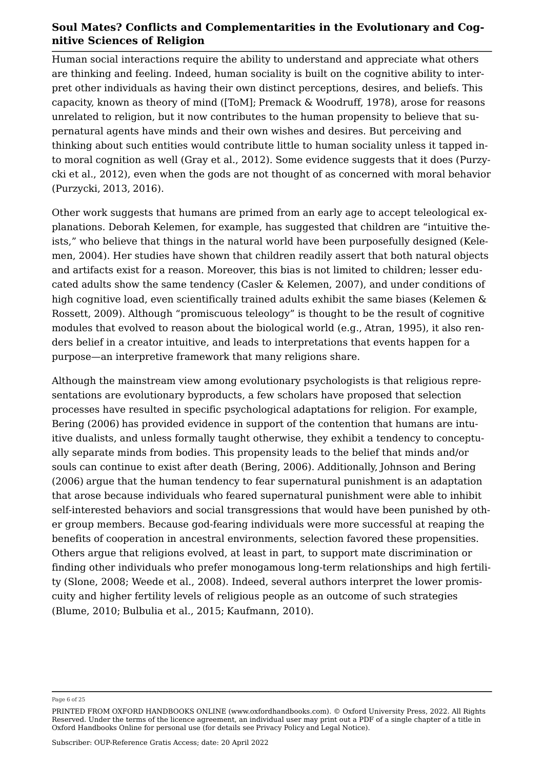Human social interactions require the ability to understand and appreciate what others are thinking and feeling. Indeed, human sociality is built on the cognitive ability to interpret other individuals as having their own distinct perceptions, desires, and beliefs. This capacity, known as theory of mind ([ToM]; [Premack & Woodruff, 1978\)](#page-19-1), arose for reasons unrelated to religion, but it now contributes to the human propensity to believe that supernatural agents have minds and their own wishes and desires. But perceiving and thinking about such entities would contribute little to human sociality unless it tapped into moral cognition as well [\(Gray et al., 2012](#page-17-7)). Some evidence suggests that it does ([Purzy](#page-20-3)[cki et al., 2012\)](#page-20-3), even when the gods are not thought of as concerned with moral behavior (Purzycki, [2013](#page-19-2), [2016](#page-19-3)).

Other work suggests that humans are primed from an early age to accept teleological explanations. Deborah Kelemen, for example, has suggested that children are "intuitive theists," who believe that things in the natural world have been purposefully designed ([Kele](#page-18-6)[men, 2004\)](#page-18-6). Her studies have shown that children readily assert that both natural objects and artifacts exist for a reason. Moreover, this bias is not limited to children; lesser educated adults show the same tendency ([Casler & Kelemen, 2007\)](#page-17-8), and under conditions of high cognitive load, even scientifically trained adults exhibit the same biases ([Kelemen &](#page-18-7)  [Rossett, 2009](#page-18-7)). Although "promiscuous teleology" is thought to be the result of cognitive modules that evolved to reason about the biological world (e.g., [Atran, 1995](#page-16-5)), it also renders belief in a creator intuitive, and leads to interpretations that events happen for a purpose—an interpretive framework that many religions share.

Although the mainstream view among evolutionary psychologists is that religious representations are evolutionary byproducts, a few scholars have proposed that selection processes have resulted in specific psychological adaptations for religion. For example, [Bering \(2006\)](#page-16-6) has provided evidence in support of the contention that humans are intuitive dualists, and unless formally taught otherwise, they exhibit a tendency to conceptually separate minds from bodies. This propensity leads to the belief that minds and/or souls can continue to exist after death ([Bering, 2006\)](#page-16-6). Additionally, [Johnson and Bering](#page-16-6)  [\(2006\)](#page-16-6) argue that the human tendency to fear supernatural punishment is an adaptation that arose because individuals who feared supernatural punishment were able to inhibit self-interested behaviors and social transgressions that would have been punished by other group members. Because god-fearing individuals were more successful at reaping the benefits of cooperation in ancestral environments, selection favored these propensities. Others argue that religions evolved, at least in part, to support mate discrimination or finding other individuals who prefer monogamous long-term relationships and high fertility [\(Slone, 2008](#page-21-3); Weede et al., 2008). Indeed, several authors interpret the lower promiscuity and higher fertility levels of religious people as an outcome of such strategies ([Blume, 2010](#page-16-7); [Bulbulia et al., 2015](#page-17-9); [Kaufmann, 2010](#page-18-8)).

Page 6 of 25

PRINTED FROM OXFORD HANDBOOKS ONLINE (www.oxfordhandbooks.com). © Oxford University Press, 2022. All Rights Reserved. Under the terms of the licence agreement, an individual user may print out a PDF of a single chapter of a title in Oxford Handbooks Online for personal use (for details see [Privacy Policy](https://global.oup.com/privacy) and [Legal Notice\)](https://www.oxfordhandbooks.com/page/legal-notice).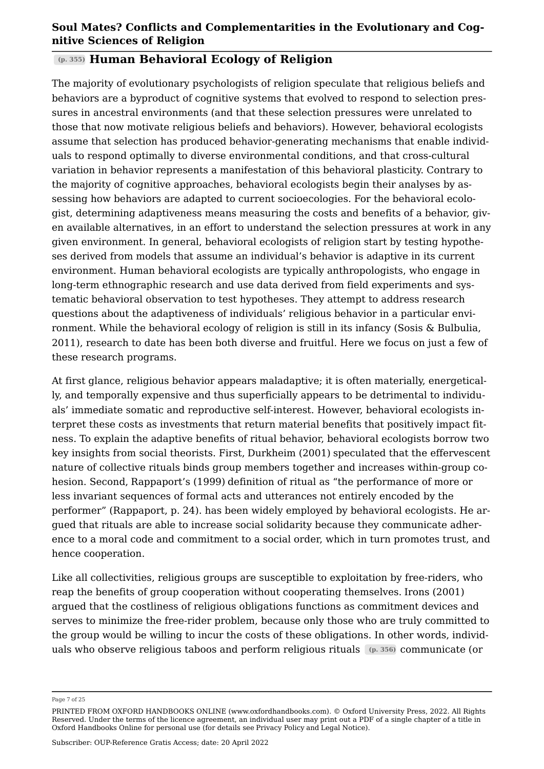#### **(p. 355) Human Behavioral Ecology of Religion**

The majority of evolutionary psychologists of religion speculate that religious beliefs and behaviors are a byproduct of cognitive systems that evolved to respond to selection pressures in ancestral environments (and that these selection pressures were unrelated to those that now motivate religious beliefs and behaviors). However, behavioral ecologists assume that selection has produced behavior-generating mechanisms that enable individuals to respond optimally to diverse environmental conditions, and that cross-cultural variation in behavior represents a manifestation of this behavioral plasticity. Contrary to the majority of cognitive approaches, behavioral ecologists begin their analyses by assessing how behaviors are adapted to current socioecologies. For the behavioral ecologist, determining adaptiveness means measuring the costs and benefits of a behavior, given available alternatives, in an effort to understand the selection pressures at work in any given environment. In general, behavioral ecologists of religion start by testing hypotheses derived from models that assume an individual's behavior is adaptive in its current environment. Human behavioral ecologists are typically anthropologists, who engage in long-term ethnographic research and use data derived from field experiments and systematic behavioral observation to test hypotheses. They attempt to address research questions about the adaptiveness of individuals' religious behavior in a particular environment. While the behavioral ecology of religion is still in its infancy [\(Sosis & Bulbulia,](#page-22-2)  [2011](#page-22-2)), research to date has been both diverse and fruitful. Here we focus on just a few of these research programs.

At first glance, religious behavior appears maladaptive; it is often materially, energetically, and temporally expensive and thus superficially appears to be detrimental to individuals' immediate somatic and reproductive self-interest. However, behavioral ecologists interpret these costs as investments that return material benefits that positively impact fitness. To explain the adaptive benefits of ritual behavior, behavioral ecologists borrow two key insights from social theorists. First, [Durkheim \(2001\)](#page-17-10) speculated that the effervescent nature of collective rituals binds group members together and increases within-group cohesion. Second, [Rappaport's \(1999\)](#page-20-4) definition of ritual as "the performance of more or less invariant sequences of formal acts and utterances not entirely encoded by the performer" (Rappaport, p. 24). has been widely employed by behavioral ecologists. He argued that rituals are able to increase social solidarity because they communicate adherence to a moral code and commitment to a social order, which in turn promotes trust, and hence cooperation.

Like all collectivities, religious groups are susceptible to exploitation by free-riders, who reap the benefits of group cooperation without cooperating themselves. [Irons \(2001\)](#page-18-9) argued that the costliness of religious obligations functions as commitment devices and serves to minimize the free-rider problem, because only those who are truly committed to the group would be willing to incur the costs of these obligations. In other words, individuals who observe religious taboos and perform religious rituals **(p. 356)** communicate (or

Page 7 of 25

PRINTED FROM OXFORD HANDBOOKS ONLINE (www.oxfordhandbooks.com). © Oxford University Press, 2022. All Rights Reserved. Under the terms of the licence agreement, an individual user may print out a PDF of a single chapter of a title in Oxford Handbooks Online for personal use (for details see [Privacy Policy](https://global.oup.com/privacy) and [Legal Notice\)](https://www.oxfordhandbooks.com/page/legal-notice).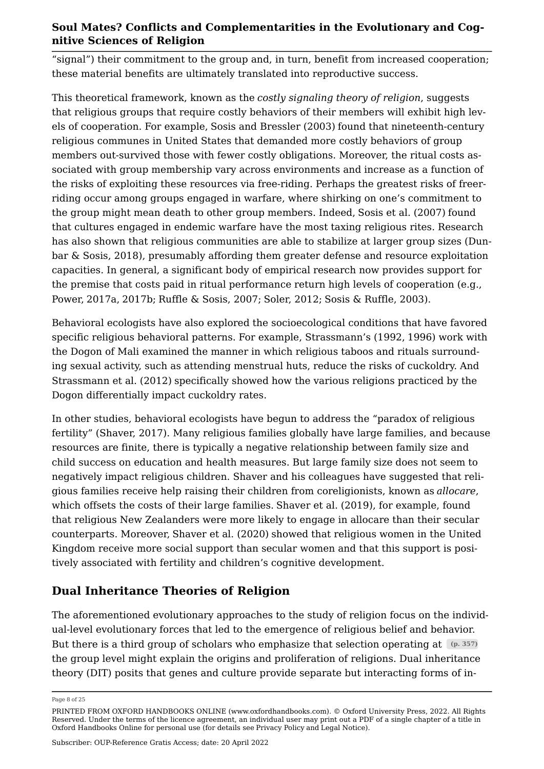"signal") their commitment to the group and, in turn, benefit from increased cooperation; these material benefits are ultimately translated into reproductive success.

This theoretical framework, known as the *costly signaling theory of religion*, suggests that religious groups that require costly behaviors of their members will exhibit high levels of cooperation. For example, [Sosis and Bressler \(2003\)](#page-22-3) found that nineteenth-century religious communes in United States that demanded more costly behaviors of group members out-survived those with fewer costly obligations. Moreover, the ritual costs associated with group membership vary across environments and increase as a function of the risks of exploiting these resources via free-riding. Perhaps the greatest risks of freerriding occur among groups engaged in warfare, where shirking on one's commitment to the group might mean death to other group members. Indeed, [Sosis et al. \(2007\)](#page-22-4) found that cultures engaged in endemic warfare have the most taxing religious rites. Research has also shown that religious communities are able to stabilize at larger group sizes ([Dun](#page-17-11)[bar & Sosis, 2018\)](#page-17-11), presumably affording them greater defense and resource exploitation capacities. In general, a significant body of empirical research now provides support for the premise that costs paid in ritual performance return high levels of cooperation (e.g., Power, [2017a,](#page-19-4) [2017b](#page-19-5); [Ruffle & Sosis, 2007;](#page-20-5) [Soler, 2012](#page-21-4); [Sosis & Ruffle, 2003](#page-22-5)).

Behavioral ecologists have also explored the socioecological conditions that have favored specific religious behavioral patterns. For example, Strassmann's ([1992](#page-22-6), [1996\)](#page-22-7) work with the Dogon of Mali examined the manner in which religious taboos and rituals surrounding sexual activity, such as attending menstrual huts, reduce the risks of cuckoldry. And [Strassmann et al. \(2012\)](#page-22-8) specifically showed how the various religions practiced by the Dogon differentially impact cuckoldry rates.

In other studies, behavioral ecologists have begun to address the "paradox of religious fertility" ([Shaver, 2017\)](#page-20-6). Many religious families globally have large families, and because resources are finite, there is typically a negative relationship between family size and child success on education and health measures. But large family size does not seem to negatively impact religious children. Shaver and his colleagues have suggested that religious families receive help raising their children from coreligionists, known as *allocare*, which offsets the costs of their large families. [Shaver et al. \(2019\)](#page-21-5), for example, found that religious New Zealanders were more likely to engage in allocare than their secular counterparts. Moreover, [Shaver et al. \(2020\)](#page-20-7) showed that religious women in the United Kingdom receive more social support than secular women and that this support is positively associated with fertility and children's cognitive development.

## **Dual Inheritance Theories of Religion**

The aforementioned evolutionary approaches to the study of religion focus on the individual-level evolutionary forces that led to the emergence of religious belief and behavior. But there is a third group of scholars who emphasize that selection operating at  $(p. 357)$ the group level might explain the origins and proliferation of religions. Dual inheritance theory (DIT) posits that genes and culture provide separate but interacting forms of in

Page 8 of 25

PRINTED FROM OXFORD HANDBOOKS ONLINE (www.oxfordhandbooks.com). © Oxford University Press, 2022. All Rights Reserved. Under the terms of the licence agreement, an individual user may print out a PDF of a single chapter of a title in Oxford Handbooks Online for personal use (for details see [Privacy Policy](https://global.oup.com/privacy) and [Legal Notice\)](https://www.oxfordhandbooks.com/page/legal-notice).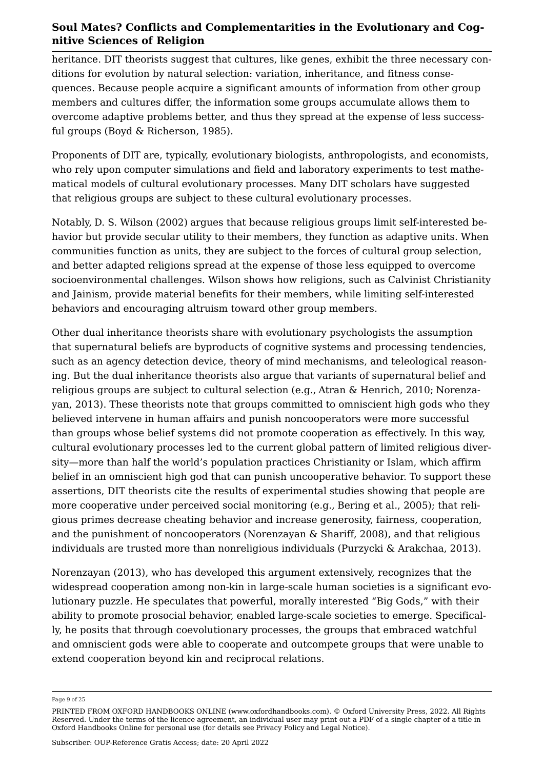heritance. DIT theorists suggest that cultures, like genes, exhibit the three necessary conditions for evolution by natural selection: variation, inheritance, and fitness consequences. Because people acquire a significant amounts of information from other group members and cultures differ, the information some groups accumulate allows them to overcome adaptive problems better, and thus they spread at the expense of less successful groups [\(Boyd & Richerson, 1985\)](#page-16-8).

Proponents of DIT are, typically, evolutionary biologists, anthropologists, and economists, who rely upon computer simulations and field and laboratory experiments to test mathematical models of cultural evolutionary processes. Many DIT scholars have suggested that religious groups are subject to these cultural evolutionary processes.

Notably, [D. S. Wilson \(2002\)](#page-23-1) argues that because religious groups limit self-interested behavior but provide secular utility to their members, they function as adaptive units. When communities function as units, they are subject to the forces of cultural group selection, and better adapted religions spread at the expense of those less equipped to overcome socioenvironmental challenges. Wilson shows how religions, such as Calvinist Christianity and Jainism, provide material benefits for their members, while limiting self-interested behaviors and encouraging altruism toward other group members.

Other dual inheritance theorists share with evolutionary psychologists the assumption that supernatural beliefs are byproducts of cognitive systems and processing tendencies, such as an agency detection device, theory of mind mechanisms, and teleological reasoning. But the dual inheritance theorists also argue that variants of supernatural belief and religious groups are subject to cultural selection (e.g., [Atran & Henrich, 2010;](#page-16-9) [Norenza](#page-19-0)[yan, 2013](#page-19-0)). These theorists note that groups committed to omniscient high gods who they believed intervene in human affairs and punish noncooperators were more successful than groups whose belief systems did not promote cooperation as effectively. In this way, cultural evolutionary processes led to the current global pattern of limited religious diversity—more than half the world's population practices Christianity or Islam, which affirm belief in an omniscient high god that can punish uncooperative behavior. To support these assertions, DIT theorists cite the results of experimental studies showing that people are more cooperative under perceived social monitoring (e.g., [Bering et al., 2005](#page-16-10)); that religious primes decrease cheating behavior and increase generosity, fairness, cooperation, and the punishment of noncooperators ([Norenzayan & Shariff, 2008\)](#page-19-6), and that religious individuals are trusted more than nonreligious individuals ([Purzycki & Arakchaa, 2013](#page-19-7)).

[Norenzayan \(2013\)](#page-19-0), who has developed this argument extensively, recognizes that the widespread cooperation among non-kin in large-scale human societies is a significant evolutionary puzzle. He speculates that powerful, morally interested "Big Gods," with their ability to promote prosocial behavior, enabled large-scale societies to emerge. Specifically, he posits that through coevolutionary processes, the groups that embraced watchful and omniscient gods were able to cooperate and outcompete groups that were unable to extend cooperation beyond kin and reciprocal relations.

Page 9 of 25

PRINTED FROM OXFORD HANDBOOKS ONLINE (www.oxfordhandbooks.com). © Oxford University Press, 2022. All Rights Reserved. Under the terms of the licence agreement, an individual user may print out a PDF of a single chapter of a title in Oxford Handbooks Online for personal use (for details see [Privacy Policy](https://global.oup.com/privacy) and [Legal Notice\)](https://www.oxfordhandbooks.com/page/legal-notice).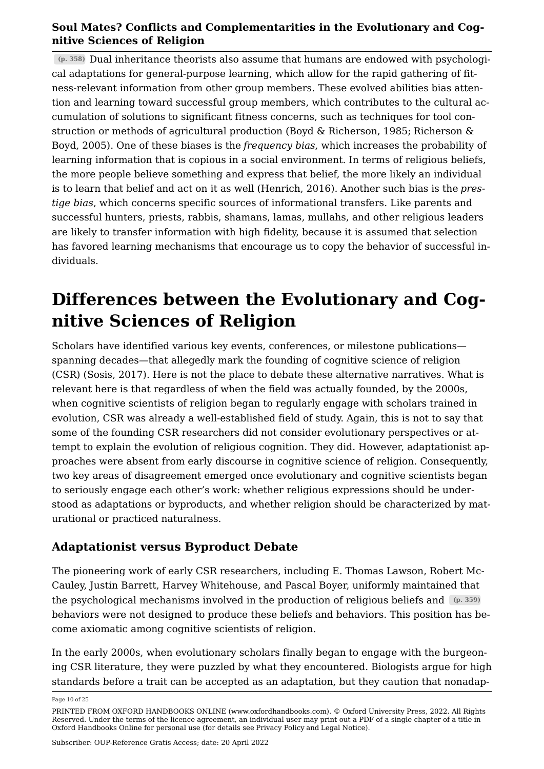**(p. 358)** Dual inheritance theorists also assume that humans are endowed with psychological adaptations for general-purpose learning, which allow for the rapid gathering of fitness-relevant information from other group members. These evolved abilities bias attention and learning toward successful group members, which contributes to the cultural accumulation of solutions to significant fitness concerns, such as techniques for tool construction or methods of agricultural production ([Boyd & Richerson, 1985](#page-16-8); [Richerson &](#page-20-8)  [Boyd, 2005\)](#page-20-8). One of these biases is the *frequency bias*, which increases the probability of learning information that is copious in a social environment. In terms of religious beliefs, the more people believe something and express that belief, the more likely an individual is to learn that belief and act on it as well ([Henrich, 2016](#page-18-10)). Another such bias is the *prestige bias*, which concerns specific sources of informational transfers. Like parents and successful hunters, priests, rabbis, shamans, lamas, mullahs, and other religious leaders are likely to transfer information with high fidelity, because it is assumed that selection has favored learning mechanisms that encourage us to copy the behavior of successful individuals.

# **Differences between the Evolutionary and Cognitive Sciences of Religion**

Scholars have identified various key events, conferences, or milestone publications spanning decades—that allegedly mark the founding of cognitive science of religion (CSR) [\(Sosis, 2017](#page-21-6)). Here is not the place to debate these alternative narratives. What is relevant here is that regardless of when the field was actually founded, by the 2000s, when cognitive scientists of religion began to regularly engage with scholars trained in evolution, CSR was already a well-established field of study. Again, this is not to say that some of the founding CSR researchers did not consider evolutionary perspectives or attempt to explain the evolution of religious cognition. They did. However, adaptationist approaches were absent from early discourse in cognitive science of religion. Consequently, two key areas of disagreement emerged once evolutionary and cognitive scientists began to seriously engage each other's work: whether religious expressions should be understood as adaptations or byproducts, and whether religion should be characterized by maturational or practiced naturalness.

## **Adaptationist versus Byproduct Debate**

The pioneering work of early CSR researchers, including E. Thomas Lawson, Robert Mc-Cauley, Justin Barrett, Harvey Whitehouse, and Pascal Boyer, uniformly maintained that the psychological mechanisms involved in the production of religious beliefs and **(p. 359)** behaviors were not designed to produce these beliefs and behaviors. This position has become axiomatic among cognitive scientists of religion.

In the early 2000s, when evolutionary scholars finally began to engage with the burgeoning CSR literature, they were puzzled by what they encountered. Biologists argue for high standards before a trait can be accepted as an adaptation, but they caution that nonadap

Page 10 of 25

PRINTED FROM OXFORD HANDBOOKS ONLINE (www.oxfordhandbooks.com). © Oxford University Press, 2022. All Rights Reserved. Under the terms of the licence agreement, an individual user may print out a PDF of a single chapter of a title in Oxford Handbooks Online for personal use (for details see [Privacy Policy](https://global.oup.com/privacy) and [Legal Notice\)](https://www.oxfordhandbooks.com/page/legal-notice).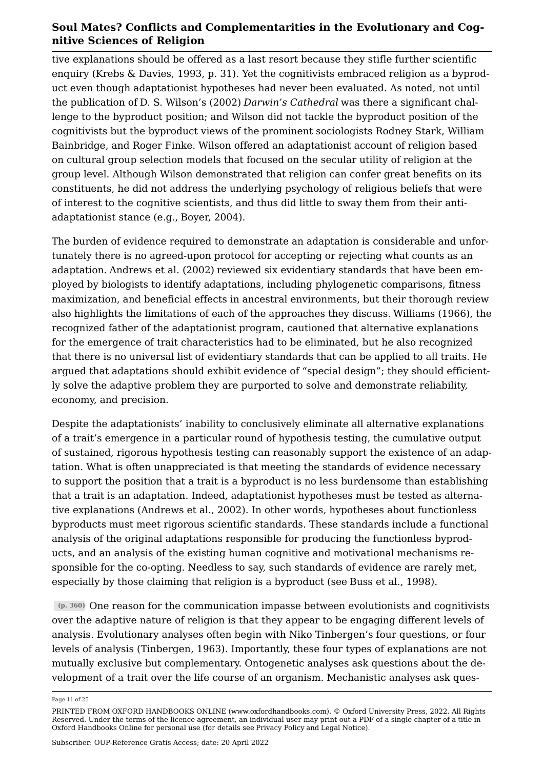tive explanations should be offered as a last resort because they stifle further scientific enquiry ([Krebs & Davies, 1993](#page-19-8), p. 31). Yet the cognitivists embraced religion as a byproduct even though adaptationist hypotheses had never been evaluated. As noted, not until the publication of [D. S. Wilson's \(2002\)](#page-23-1) *Darwin's Cathedral* was there a significant challenge to the byproduct position; and Wilson did not tackle the byproduct position of the cognitivists but the byproduct views of the prominent sociologists Rodney Stark, William Bainbridge, and Roger Finke. Wilson offered an adaptationist account of religion based on cultural group selection models that focused on the secular utility of religion at the group level. Although Wilson demonstrated that religion can confer great benefits on its constituents, he did not address the underlying psychology of religious beliefs that were of interest to the cognitive scientists, and thus did little to sway them from their antiadaptationist stance (e.g., [Boyer, 2004](#page-16-11)).

The burden of evidence required to demonstrate an adaptation is considerable and unfortunately there is no agreed-upon protocol for accepting or rejecting what counts as an adaptation. [Andrews et al. \(2002\)](#page-16-12) reviewed six evidentiary standards that have been employed by biologists to identify adaptations, including phylogenetic comparisons, fitness maximization, and beneficial effects in ancestral environments, but their thorough review also highlights the limitations of each of the approaches they discuss. [Williams \(1966\)](#page-23-4), the recognized father of the adaptationist program, cautioned that alternative explanations for the emergence of trait characteristics had to be eliminated, but he also recognized that there is no universal list of evidentiary standards that can be applied to all traits. He argued that adaptations should exhibit evidence of "special design"; they should efficiently solve the adaptive problem they are purported to solve and demonstrate reliability, economy, and precision.

Despite the adaptationists' inability to conclusively eliminate all alternative explanations of a trait's emergence in a particular round of hypothesis testing, the cumulative output of sustained, rigorous hypothesis testing can reasonably support the existence of an adaptation. What is often unappreciated is that meeting the standards of evidence necessary to support the position that a trait is a byproduct is no less burdensome than establishing that a trait is an adaptation. Indeed, adaptationist hypotheses must be tested as alternative explanations ([Andrews et al., 2002\)](#page-16-12). In other words, hypotheses about functionless byproducts must meet rigorous scientific standards. These standards include a functional analysis of the original adaptations responsible for producing the functionless byproducts, and an analysis of the existing human cognitive and motivational mechanisms responsible for the co-opting. Needless to say, such standards of evidence are rarely met, especially by those claiming that religion is a byproduct (see [Buss et al., 1998](#page-17-12)).

**(p. 360)** One reason for the communication impasse between evolutionists and cognitivists over the adaptive nature of religion is that they appear to be engaging different levels of analysis. Evolutionary analyses often begin with Niko Tinbergen's four questions, or four levels of analysis [\(Tinbergen, 1963](#page-22-9)). Importantly, these four types of explanations are not mutually exclusive but complementary. Ontogenetic analyses ask questions about the development of a trait over the life course of an organism. Mechanistic analyses ask ques

Page 11 of 25

PRINTED FROM OXFORD HANDBOOKS ONLINE (www.oxfordhandbooks.com). © Oxford University Press, 2022. All Rights Reserved. Under the terms of the licence agreement, an individual user may print out a PDF of a single chapter of a title in Oxford Handbooks Online for personal use (for details see [Privacy Policy](https://global.oup.com/privacy) and [Legal Notice\)](https://www.oxfordhandbooks.com/page/legal-notice).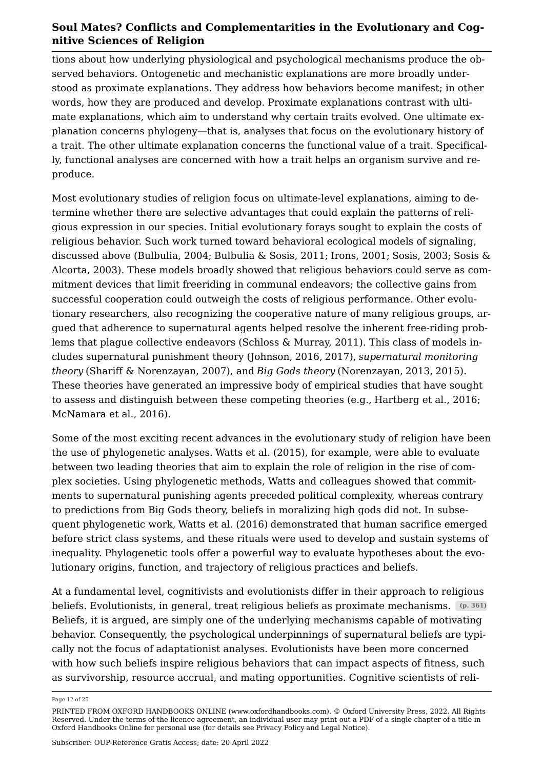tions about how underlying physiological and psychological mechanisms produce the observed behaviors. Ontogenetic and mechanistic explanations are more broadly understood as proximate explanations. They address how behaviors become manifest; in other words, how they are produced and develop. Proximate explanations contrast with ultimate explanations, which aim to understand why certain traits evolved. One ultimate explanation concerns phylogeny—that is, analyses that focus on the evolutionary history of a trait. The other ultimate explanation concerns the functional value of a trait. Specifically, functional analyses are concerned with how a trait helps an organism survive and reproduce.

Most evolutionary studies of religion focus on ultimate-level explanations, aiming to determine whether there are selective advantages that could explain the patterns of religious expression in our species. Initial evolutionary forays sought to explain the costs of religious behavior. Such work turned toward behavioral ecological models of signaling, discussed above ([Bulbulia, 2004](#page-17-13); [Bulbulia & Sosis, 2011;](#page-17-14) [Irons, 2001](#page-18-9); [Sosis, 2003](#page-21-7); [Sosis &](#page-22-10)  [Alcorta, 2003](#page-22-10)). These models broadly showed that religious behaviors could serve as commitment devices that limit freeriding in communal endeavors; the collective gains from successful cooperation could outweigh the costs of religious performance. Other evolutionary researchers, also recognizing the cooperative nature of many religious groups, argued that adherence to supernatural agents helped resolve the inherent free-riding problems that plague collective endeavors [\(Schloss & Murray, 2011](#page-20-9)). This class of models includes supernatural punishment theory (Johnson, [2016,](#page-18-11) [2017\)](#page-18-12), *supernatural monitoring theory* ([Shariff & Norenzayan, 2007\)](#page-20-10), and *Big Gods theory* (Norenzayan, [2013,](#page-19-0) [2015](#page-19-9)). These theories have generated an impressive body of empirical studies that have sought to assess and distinguish between these competing theories (e.g., [Hartberg et al., 2016](#page-18-13); [McNamara et al., 2016\)](#page-19-10).

Some of the most exciting recent advances in the evolutionary study of religion have been the use of phylogenetic analyses. [Watts et al. \(2015\),](#page-23-5) for example, were able to evaluate between two leading theories that aim to explain the role of religion in the rise of complex societies. Using phylogenetic methods, Watts and colleagues showed that commitments to supernatural punishing agents preceded political complexity, whereas contrary to predictions from Big Gods theory, beliefs in moralizing high gods did not. In subsequent phylogenetic work, [Watts et al. \(2016\)](#page-23-6) demonstrated that human sacrifice emerged before strict class systems, and these rituals were used to develop and sustain systems of inequality. Phylogenetic tools offer a powerful way to evaluate hypotheses about the evolutionary origins, function, and trajectory of religious practices and beliefs.

At a fundamental level, cognitivists and evolutionists differ in their approach to religious beliefs. Evolutionists, in general, treat religious beliefs as proximate mechanisms. **(p. 361)** Beliefs, it is argued, are simply one of the underlying mechanisms capable of motivating behavior. Consequently, the psychological underpinnings of supernatural beliefs are typically not the focus of adaptationist analyses. Evolutionists have been more concerned with how such beliefs inspire religious behaviors that can impact aspects of fitness, such as survivorship, resource accrual, and mating opportunities. Cognitive scientists of reli

Page 12 of 25

PRINTED FROM OXFORD HANDBOOKS ONLINE (www.oxfordhandbooks.com). © Oxford University Press, 2022. All Rights Reserved. Under the terms of the licence agreement, an individual user may print out a PDF of a single chapter of a title in Oxford Handbooks Online for personal use (for details see [Privacy Policy](https://global.oup.com/privacy) and [Legal Notice\)](https://www.oxfordhandbooks.com/page/legal-notice).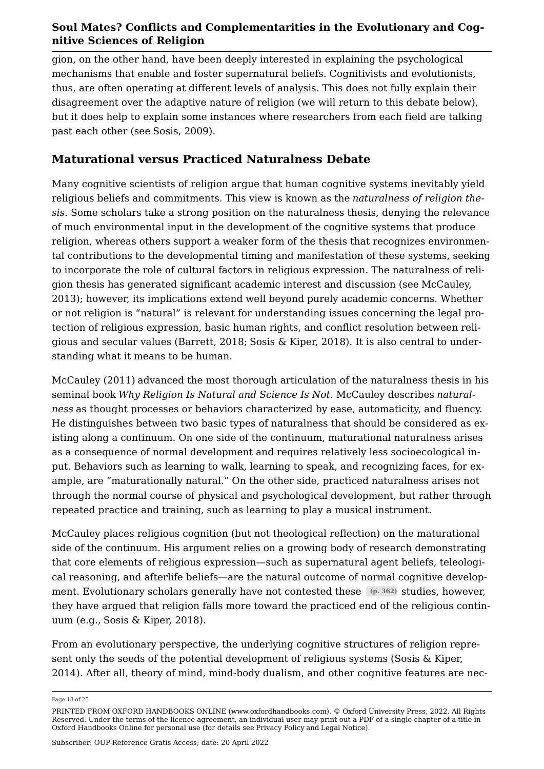gion, on the other hand, have been deeply interested in explaining the psychological mechanisms that enable and foster supernatural beliefs. Cognitivists and evolutionists, thus, are often operating at different levels of analysis. This does not fully explain their disagreement over the adaptive nature of religion (we will return to this debate below), but it does help to explain some instances where researchers from each field are talking past each other (see [Sosis, 2009\)](#page-21-8).

## **Maturational versus Practiced Naturalness Debate**

Many cognitive scientists of religion argue that human cognitive systems inevitably yield religious beliefs and commitments. This view is known as the *naturalness of religion thesis*. Some scholars take a strong position on the naturalness thesis, denying the relevance of much environmental input in the development of the cognitive systems that produce religion, whereas others support a weaker form of the thesis that recognizes environmental contributions to the developmental timing and manifestation of these systems, seeking to incorporate the role of cultural factors in religious expression. The naturalness of religion thesis has generated significant academic interest and discussion (see [McCauley,](#page-19-11) [2013](#page-19-11)); however, its implications extend well beyond purely academic concerns. Whether or not religion is "natural" is relevant for understanding issues concerning the legal protection of religious expression, basic human rights, and conflict resolution between religious and secular values [\(Barrett, 2018](#page-16-13); [Sosis & Kiper, 2018](#page-22-11)). It is also central to understanding what it means to be human.

[McCauley \(2011\)](#page-19-12) advanced the most thorough articulation of the naturalness thesis in his seminal book *Why Religion Is Natural and Science Is Not*. McCauley describes *naturalness* as thought processes or behaviors characterized by ease, automaticity, and fluency. He distinguishes between two basic types of naturalness that should be considered as existing along a continuum. On one side of the continuum, maturational naturalness arises as a consequence of normal development and requires relatively less socioecological input. Behaviors such as learning to walk, learning to speak, and recognizing faces, for example, are "maturationally natural." On the other side, practiced naturalness arises not through the normal course of physical and psychological development, but rather through repeated practice and training, such as learning to play a musical instrument.

McCauley places religious cognition (but not theological reflection) on the maturational side of the continuum. His argument relies on a growing body of research demonstrating that core elements of religious expression—such as supernatural agent beliefs, teleological reasoning, and afterlife beliefs—are the natural outcome of normal cognitive development. Evolutionary scholars generally have not contested these (p. 362) studies, however, they have argued that religion falls more toward the practiced end of the religious continuum (e.g., [Sosis & Kiper, 2018](#page-22-11)).

From an evolutionary perspective, the underlying cognitive structures of religion represent only the seeds of the potential development of religious systems ([Sosis & Kiper,](#page-22-12)  [2014](#page-22-12)). After all, theory of mind, mind-body dualism, and other cognitive features are nec

Page 13 of 25

PRINTED FROM OXFORD HANDBOOKS ONLINE (www.oxfordhandbooks.com). © Oxford University Press, 2022. All Rights Reserved. Under the terms of the licence agreement, an individual user may print out a PDF of a single chapter of a title in Oxford Handbooks Online for personal use (for details see [Privacy Policy](https://global.oup.com/privacy) and [Legal Notice\)](https://www.oxfordhandbooks.com/page/legal-notice).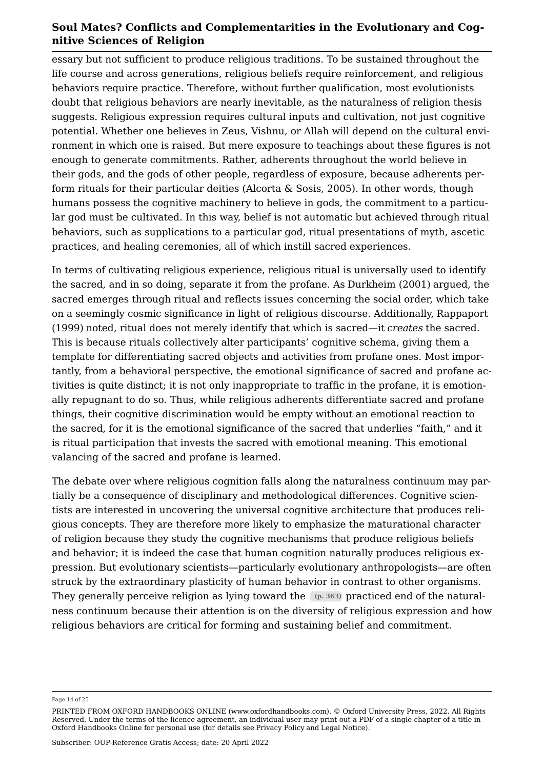essary but not sufficient to produce religious traditions. To be sustained throughout the life course and across generations, religious beliefs require reinforcement, and religious behaviors require practice. Therefore, without further qualification, most evolutionists doubt that religious behaviors are nearly inevitable, as the naturalness of religion thesis suggests. Religious expression requires cultural inputs and cultivation, not just cognitive potential. Whether one believes in Zeus, Vishnu, or Allah will depend on the cultural environment in which one is raised. But mere exposure to teachings about these figures is not enough to generate commitments. Rather, adherents throughout the world believe in their gods, and the gods of other people, regardless of exposure, because adherents perform rituals for their particular deities [\(Alcorta & Sosis, 2005\)](#page-16-2). In other words, though humans possess the cognitive machinery to believe in gods, the commitment to a particular god must be cultivated. In this way, belief is not automatic but achieved through ritual behaviors, such as supplications to a particular god, ritual presentations of myth, ascetic practices, and healing ceremonies, all of which instill sacred experiences.

In terms of cultivating religious experience, religious ritual is universally used to identify the sacred, and in so doing, separate it from the profane. As [Durkheim \(2001\)](#page-17-10) argued, the sacred emerges through ritual and reflects issues concerning the social order, which take on a seemingly cosmic significance in light of religious discourse. Additionally, [Rappaport](#page-20-4) [\(1999\)](#page-20-4) noted, ritual does not merely identify that which is sacred—it *creates* the sacred. This is because rituals collectively alter participants' cognitive schema, giving them a template for differentiating sacred objects and activities from profane ones. Most importantly, from a behavioral perspective, the emotional significance of sacred and profane activities is quite distinct; it is not only inappropriate to traffic in the profane, it is emotionally repugnant to do so. Thus, while religious adherents differentiate sacred and profane things, their cognitive discrimination would be empty without an emotional reaction to the sacred, for it is the emotional significance of the sacred that underlies "faith," and it is ritual participation that invests the sacred with emotional meaning. This emotional valancing of the sacred and profane is learned.

The debate over where religious cognition falls along the naturalness continuum may partially be a consequence of disciplinary and methodological differences. Cognitive scientists are interested in uncovering the universal cognitive architecture that produces religious concepts. They are therefore more likely to emphasize the maturational character of religion because they study the cognitive mechanisms that produce religious beliefs and behavior; it is indeed the case that human cognition naturally produces religious expression. But evolutionary scientists—particularly evolutionary anthropologists—are often struck by the extraordinary plasticity of human behavior in contrast to other organisms. They generally perceive religion as lying toward the **(p. 363)** practiced end of the naturalness continuum because their attention is on the diversity of religious expression and how religious behaviors are critical for forming and sustaining belief and commitment.

Page 14 of 25

PRINTED FROM OXFORD HANDBOOKS ONLINE (www.oxfordhandbooks.com). © Oxford University Press, 2022. All Rights Reserved. Under the terms of the licence agreement, an individual user may print out a PDF of a single chapter of a title in Oxford Handbooks Online for personal use (for details see [Privacy Policy](https://global.oup.com/privacy) and [Legal Notice\)](https://www.oxfordhandbooks.com/page/legal-notice).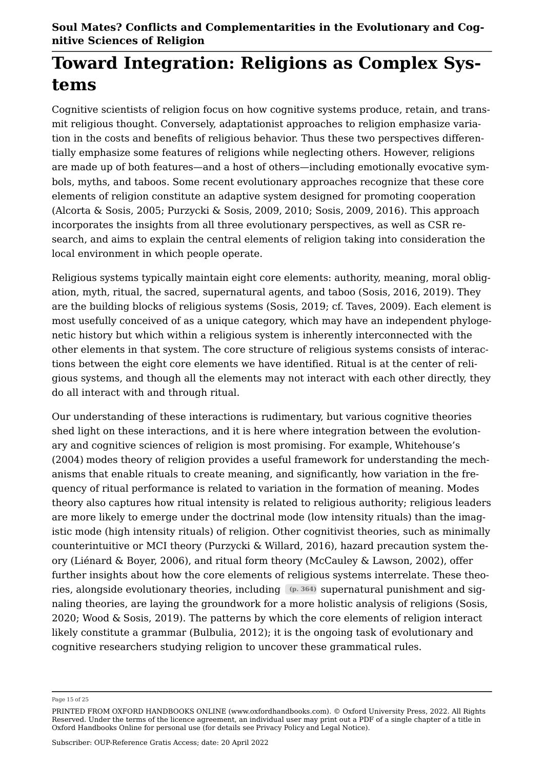## **Toward Integration: Religions as Complex Systems**

Cognitive scientists of religion focus on how cognitive systems produce, retain, and transmit religious thought. Conversely, adaptationist approaches to religion emphasize variation in the costs and benefits of religious behavior. Thus these two perspectives differentially emphasize some features of religions while neglecting others. However, religions are made up of both features—and a host of others—including emotionally evocative symbols, myths, and taboos. Some recent evolutionary approaches recognize that these core elements of religion constitute an adaptive system designed for promoting cooperation ([Alcorta & Sosis, 2005](#page-16-2); Purzycki & Sosis, [2009,](#page-20-11) [2010](#page-20-12); Sosis, [2009,](#page-21-8) [2016](#page-21-9)). This approach incorporates the insights from all three evolutionary perspectives, as well as CSR research, and aims to explain the central elements of religion taking into consideration the local environment in which people operate.

Religious systems typically maintain eight core elements: authority, meaning, moral obligation, myth, ritual, the sacred, supernatural agents, and taboo (Sosis, [2016,](#page-21-9) [2019\)](#page-21-10). They are the building blocks of religious systems ([Sosis, 2019;](#page-21-10) cf. [Taves, 2009](#page-22-13)). Each element is most usefully conceived of as a unique category, which may have an independent phylogenetic history but which within a religious system is inherently interconnected with the other elements in that system. The core structure of religious systems consists of interactions between the eight core elements we have identified. Ritual is at the center of religious systems, and though all the elements may not interact with each other directly, they do all interact with and through ritual.

Our understanding of these interactions is rudimentary, but various cognitive theories shed light on these interactions, and it is here where integration between the evolutionary and cognitive sciences of religion is most promising. For example, [Whitehouse's](#page-23-7)  [\(2004\)](#page-23-7) modes theory of religion provides a useful framework for understanding the mechanisms that enable rituals to create meaning, and significantly, how variation in the frequency of ritual performance is related to variation in the formation of meaning. Modes theory also captures how ritual intensity is related to religious authority; religious leaders are more likely to emerge under the doctrinal mode (low intensity rituals) than the imagistic mode (high intensity rituals) of religion. Other cognitivist theories, such as minimally counterintuitive or MCI theory [\(Purzycki & Willard, 2016](#page-20-13)), hazard precaution system theory [\(Liénard & Boyer, 2006](#page-19-13)), and ritual form theory ([McCauley & Lawson, 2002\)](#page-19-14), offer further insights about how the core elements of religious systems interrelate. These theories, alongside evolutionary theories, including **(p. 364)** supernatural punishment and signaling theories, are laying the groundwork for a more holistic analysis of religions ([Sosis,](#page-21-11)  [2020](#page-21-11); Wood & [Sosis, 2019](#page-21-10)). The patterns by which the core elements of religion interact likely constitute a grammar [\(Bulbulia, 2012\)](#page-17-15); it is the ongoing task of evolutionary and cognitive researchers studying religion to uncover these grammatical rules.

Page 15 of 25

PRINTED FROM OXFORD HANDBOOKS ONLINE (www.oxfordhandbooks.com). © Oxford University Press, 2022. All Rights Reserved. Under the terms of the licence agreement, an individual user may print out a PDF of a single chapter of a title in Oxford Handbooks Online for personal use (for details see [Privacy Policy](https://global.oup.com/privacy) and [Legal Notice\)](https://www.oxfordhandbooks.com/page/legal-notice).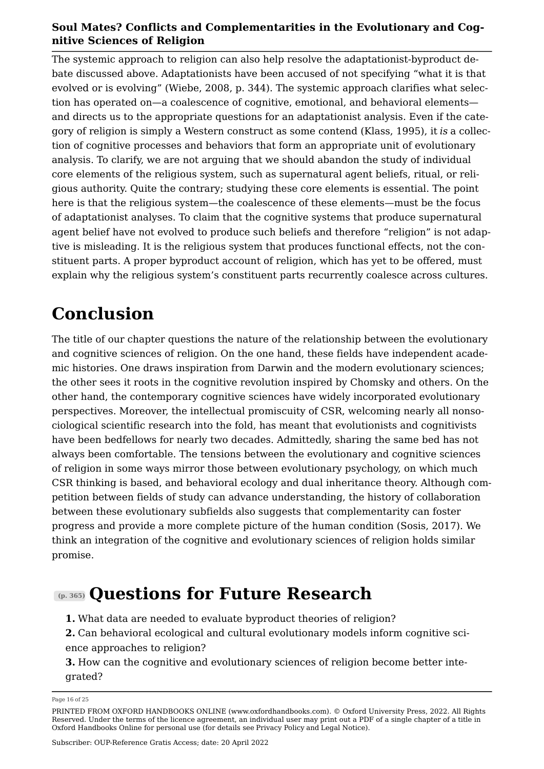The systemic approach to religion can also help resolve the adaptationist-byproduct debate discussed above. Adaptationists have been accused of not specifying "what it is that evolved or is evolving" ([Wiebe, 2008](#page-23-8), p. 344). The systemic approach clarifies what selection has operated on—a coalescence of cognitive, emotional, and behavioral elements and directs us to the appropriate questions for an adaptationist analysis. Even if the category of religion is simply a Western construct as some contend ([Klass, 1995](#page-19-15)), it *is* a collection of cognitive processes and behaviors that form an appropriate unit of evolutionary analysis. To clarify, we are not arguing that we should abandon the study of individual core elements of the religious system, such as supernatural agent beliefs, ritual, or religious authority. Quite the contrary; studying these core elements is essential. The point here is that the religious system—the coalescence of these elements—must be the focus of adaptationist analyses. To claim that the cognitive systems that produce supernatural agent belief have not evolved to produce such beliefs and therefore "religion" is not adaptive is misleading. It is the religious system that produces functional effects, not the constituent parts. A proper byproduct account of religion, which has yet to be offered, must explain why the religious system's constituent parts recurrently coalesce across cultures.

## **Conclusion**

The title of our chapter questions the nature of the relationship between the evolutionary and cognitive sciences of religion. On the one hand, these fields have independent academic histories. One draws inspiration from Darwin and the modern evolutionary sciences; the other sees it roots in the cognitive revolution inspired by Chomsky and others. On the other hand, the contemporary cognitive sciences have widely incorporated evolutionary perspectives. Moreover, the intellectual promiscuity of CSR, welcoming nearly all nonsociological scientific research into the fold, has meant that evolutionists and cognitivists have been bedfellows for nearly two decades. Admittedly, sharing the same bed has not always been comfortable. The tensions between the evolutionary and cognitive sciences of religion in some ways mirror those between evolutionary psychology, on which much CSR thinking is based, and behavioral ecology and dual inheritance theory. Although competition between fields of study can advance understanding, the history of collaboration between these evolutionary subfields also suggests that complementarity can foster progress and provide a more complete picture of the human condition [\(Sosis, 2017](#page-21-6)). We think an integration of the cognitive and evolutionary sciences of religion holds similar promise.

## **(p. 365) Questions for Future Research**

- **1.** What data are needed to evaluate byproduct theories of religion?
- **2.** Can behavioral ecological and cultural evolutionary models inform cognitive science approaches to religion?

**3.** How can the cognitive and evolutionary sciences of religion become better integrated?

Page 16 of 25

PRINTED FROM OXFORD HANDBOOKS ONLINE (www.oxfordhandbooks.com). © Oxford University Press, 2022. All Rights Reserved. Under the terms of the licence agreement, an individual user may print out a PDF of a single chapter of a title in Oxford Handbooks Online for personal use (for details see [Privacy Policy](https://global.oup.com/privacy) and [Legal Notice\)](https://www.oxfordhandbooks.com/page/legal-notice).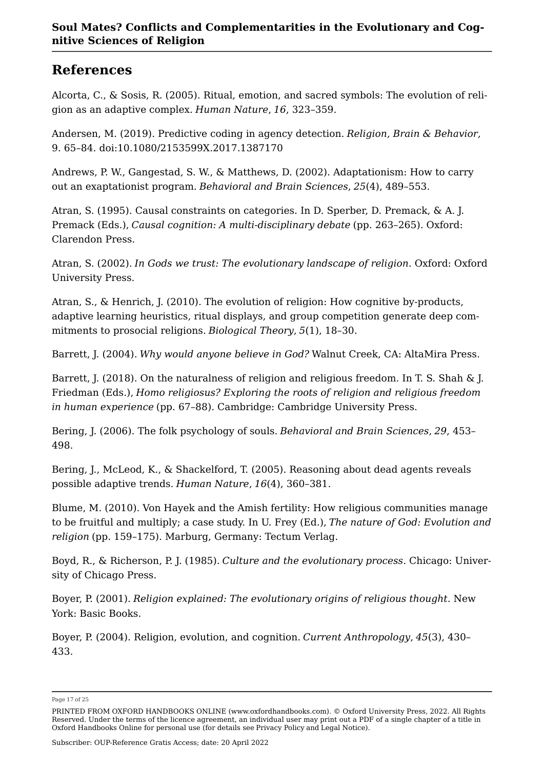## **References**

<span id="page-16-2"></span>Alcorta, C., & Sosis, R. (2005). Ritual, emotion, and sacred symbols: The evolution of religion as an adaptive complex. *Human Nature*, *16*, 323–359.

<span id="page-16-4"></span>Andersen, M. (2019). Predictive coding in agency detection. *Religion, Brain & Behavior*, 9. 65–84. doi:10.1080/2153599X.2017.1387170

<span id="page-16-12"></span>Andrews, P. W., Gangestad, S. W., & Matthews, D. (2002). Adaptationism: How to carry out an exaptationist program. *Behavioral and Brain Sciences*, *25*(4), 489–553.

<span id="page-16-5"></span>Atran, S. (1995). Causal constraints on categories. In D. Sperber, D. Premack, & A. J. Premack (Eds.), *Causal cognition: A multi-disciplinary debate* (pp. 263–265). Oxford: Clarendon Press.

<span id="page-16-1"></span>Atran, S. (2002). *In Gods we trust: The evolutionary landscape of religion*. Oxford: Oxford University Press.

<span id="page-16-9"></span>Atran, S., & Henrich, J. (2010). The evolution of religion: How cognitive by-products, adaptive learning heuristics, ritual displays, and group competition generate deep commitments to prosocial religions. *Biological Theory*, *5*(1), 18–30.

<span id="page-16-3"></span>Barrett, J. (2004). *Why would anyone believe in God?* Walnut Creek, CA: AltaMira Press.

<span id="page-16-13"></span>Barrett, J. (2018). On the naturalness of religion and religious freedom. In T. S. Shah & J. Friedman (Eds.), *Homo religiosus? Exploring the roots of religion and religious freedom in human experience* (pp. 67–88). Cambridge: Cambridge University Press.

<span id="page-16-6"></span>Bering, J. (2006). The folk psychology of souls. *Behavioral and Brain Sciences*, *29*, 453– 498.

<span id="page-16-10"></span>Bering, J., McLeod, K., & Shackelford, T. (2005). Reasoning about dead agents reveals possible adaptive trends. *Human Nature*, *16*(4), 360–381.

<span id="page-16-7"></span>Blume, M. (2010). Von Hayek and the Amish fertility: How religious communities manage to be fruitful and multiply; a case study. In U. Frey (Ed.), *The nature of God: Evolution and religion* (pp. 159–175). Marburg, Germany: Tectum Verlag.

<span id="page-16-8"></span>Boyd, R., & Richerson, P. J. (1985). *Culture and the evolutionary process*. Chicago: University of Chicago Press.

<span id="page-16-0"></span>Boyer, P. (2001). *Religion explained: The evolutionary origins of religious thought*. New York: Basic Books.

<span id="page-16-11"></span>Boyer, P. (2004). Religion, evolution, and cognition. *Current Anthropology*, *45*(3), 430– 433.

Page 17 of 25

PRINTED FROM OXFORD HANDBOOKS ONLINE (www.oxfordhandbooks.com). © Oxford University Press, 2022. All Rights Reserved. Under the terms of the licence agreement, an individual user may print out a PDF of a single chapter of a title in Oxford Handbooks Online for personal use (for details see [Privacy Policy](https://global.oup.com/privacy) and [Legal Notice\)](https://www.oxfordhandbooks.com/page/legal-notice).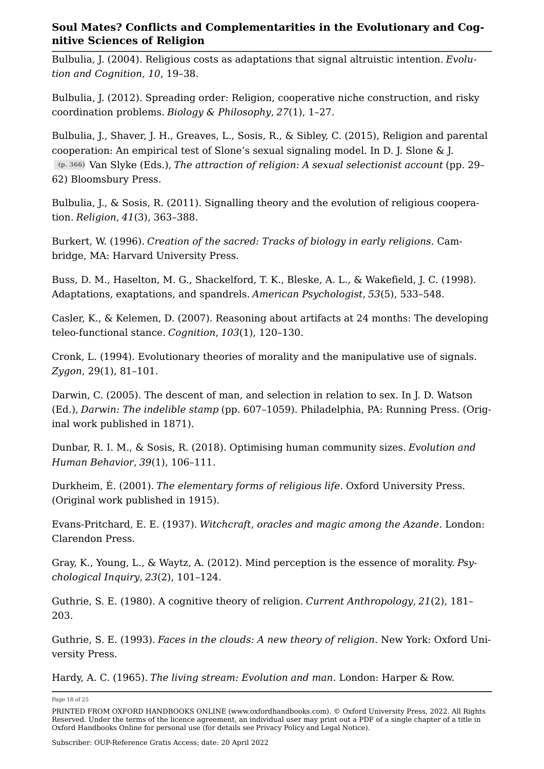<span id="page-17-13"></span>Bulbulia, J. (2004). Religious costs as adaptations that signal altruistic intention. *Evolution and Cognition, 10*, 19–38.

<span id="page-17-15"></span>Bulbulia, J. (2012). Spreading order: Religion, cooperative niche construction, and risky coordination problems. *Biology & Philosophy*, *27*(1), 1–27.

<span id="page-17-9"></span>Bulbulia, J., Shaver, J. H., Greaves, L., Sosis, R., & Sibley, C. (2015), Religion and parental cooperation: An empirical test of Slone's sexual signaling model. In D. J. Slone & J. **(p. 366)** Van Slyke (Eds.), *The attraction of religion: A sexual selectionist account* (pp. 29– 62) Bloomsbury Press.

<span id="page-17-14"></span>Bulbulia, J., & Sosis, R. (2011). Signalling theory and the evolution of religious cooperation. *Religion*, *41*(3), 363–388.

<span id="page-17-3"></span>Burkert, W. (1996). *Creation of the sacred: Tracks of biology in early religions*. Cambridge, MA: Harvard University Press.

<span id="page-17-12"></span>Buss, D. M., Haselton, M. G., Shackelford, T. K., Bleske, A. L., & Wakefield, J. C. (1998). Adaptations, exaptations, and spandrels. *American Psychologist*, *53*(5), 533–548.

<span id="page-17-8"></span>Casler, K., & Kelemen, D. (2007). Reasoning about artifacts at 24 months: The developing teleo-functional stance. *Cognition*, *103*(1), 120–130.

<span id="page-17-4"></span>Cronk, L. (1994). Evolutionary theories of morality and the manipulative use of signals. *Zygon*, 29(1), 81–101.

<span id="page-17-0"></span>Darwin, C. (2005). The descent of man, and selection in relation to sex. In J. D. Watson (Ed.), *Darwin: The indelible stamp* (pp. 607–1059). Philadelphia, PA: Running Press. (Original work published in 1871).

<span id="page-17-11"></span>Dunbar, R. I. M., & Sosis, R. (2018). Optimising human community sizes. *Evolution and Human Behavior*, *39*(1), 106–111.

<span id="page-17-10"></span>Durkheim, É. (2001). *The elementary forms of religious life*. Oxford University Press. (Original work published in 1915).

<span id="page-17-1"></span>Evans-Pritchard, E. E. (1937). *Witchcraft, oracles and magic among the Azande*. London: Clarendon Press.

<span id="page-17-7"></span>Gray, K., Young, L., & Waytz, A. (2012). Mind perception is the essence of morality. *Psychological Inquiry*, *23*(2), 101–124.

<span id="page-17-5"></span>Guthrie, S. E. (1980). A cognitive theory of religion. *Current Anthropology*, *21*(2), 181– 203.

<span id="page-17-6"></span>Guthrie, S. E. (1993). *Faces in the clouds: A new theory of religion*. New York: Oxford University Press.

<span id="page-17-2"></span>Hardy, A. C. (1965). *The living stream: Evolution and man*. London: Harper & Row.

Page 18 of 25

PRINTED FROM OXFORD HANDBOOKS ONLINE (www.oxfordhandbooks.com). © Oxford University Press, 2022. All Rights Reserved. Under the terms of the licence agreement, an individual user may print out a PDF of a single chapter of a title in Oxford Handbooks Online for personal use (for details see [Privacy Policy](https://global.oup.com/privacy) and [Legal Notice\)](https://www.oxfordhandbooks.com/page/legal-notice).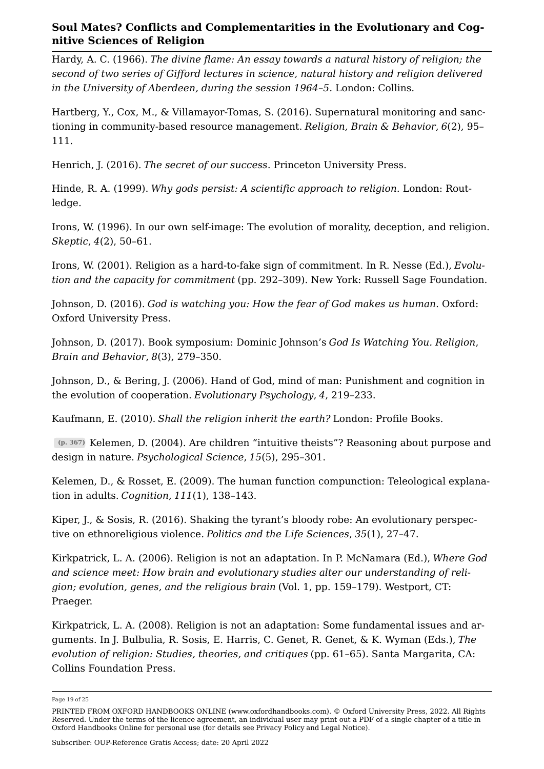<span id="page-18-0"></span>Hardy, A. C. (1966). *The divine flame: An essay towards a natural history of religion; the second of two series of Gifford lectures in science, natural history and religion delivered in the University of Aberdeen, during the session 1964–5*. London: Collins.

<span id="page-18-13"></span>Hartberg, Y., Cox, M., & Villamayor-Tomas, S. (2016). Supernatural monitoring and sanctioning in community-based resource management. *Religion, Brain & Behavior*, *6*(2), 95– 111.

<span id="page-18-10"></span>Henrich, J. (2016). *The secret of our success*. Princeton University Press.

<span id="page-18-1"></span>Hinde, R. A. (1999). *Why gods persist: A scientific approach to religion*. London: Routledge.

<span id="page-18-2"></span>Irons, W. (1996). In our own self-image: The evolution of morality, deception, and religion. *Skeptic*, *4*(2), 50–61.

<span id="page-18-9"></span>Irons, W. (2001). Religion as a hard-to-fake sign of commitment. In R. Nesse (Ed.), *Evolution and the capacity for commitment* (pp. 292–309). New York: Russell Sage Foundation.

<span id="page-18-11"></span>Johnson, D. (2016). *God is watching you: How the fear of God makes us human*. Oxford: Oxford University Press.

<span id="page-18-12"></span>Johnson, D. (2017). Book symposium: Dominic Johnson's *God Is Watching You. Religion*, *Brain and Behavior*, *8*(3), 279–350.

Johnson, D., & Bering, J. (2006). Hand of God, mind of man: Punishment and cognition in the evolution of cooperation. *Evolutionary Psychology*, *4*, 219–233.

<span id="page-18-8"></span>Kaufmann, E. (2010). *Shall the religion inherit the earth?* London: Profile Books.

<span id="page-18-6"></span>**(p. 367)** Kelemen, D. (2004). Are children "intuitive theists"? Reasoning about purpose and design in nature. *Psychological Science*, *15*(5), 295–301.

<span id="page-18-7"></span>Kelemen, D., & Rosset, E. (2009). The human function compunction: Teleological explanation in adults. *Cognition*, *111*(1), 138–143.

<span id="page-18-3"></span>Kiper, J., & Sosis, R. (2016). Shaking the tyrant's bloody robe: An evolutionary perspective on ethnoreligious violence. *Politics and the Life Sciences*, *35*(1), 27–47.

<span id="page-18-4"></span>Kirkpatrick, L. A. (2006). Religion is not an adaptation. In P. McNamara (Ed.), *Where God and science meet: How brain and evolutionary studies alter our understanding of religion; evolution, genes, and the religious brain* (Vol. 1, pp. 159–179). Westport, CT: Praeger.

<span id="page-18-5"></span>Kirkpatrick, L. A. (2008). Religion is not an adaptation: Some fundamental issues and arguments. In J. Bulbulia, R. Sosis, E. Harris, C. Genet, R. Genet, & K. Wyman (Eds.), *The evolution of religion: Studies, theories, and critiques* (pp. 61–65). Santa Margarita, CA: Collins Foundation Press.

Page 19 of 25

PRINTED FROM OXFORD HANDBOOKS ONLINE (www.oxfordhandbooks.com). © Oxford University Press, 2022. All Rights Reserved. Under the terms of the licence agreement, an individual user may print out a PDF of a single chapter of a title in Oxford Handbooks Online for personal use (for details see [Privacy Policy](https://global.oup.com/privacy) and [Legal Notice\)](https://www.oxfordhandbooks.com/page/legal-notice).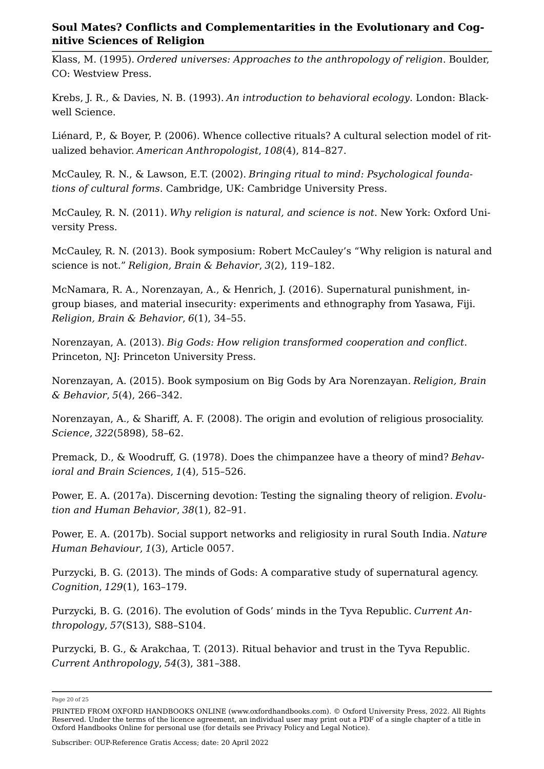<span id="page-19-15"></span>Klass, M. (1995). *Ordered universes: Approaches to the anthropology of religion*. Boulder, CO: Westview Press.

<span id="page-19-8"></span>Krebs, J. R., & Davies, N. B. (1993). *An introduction to behavioral ecology*. London: Blackwell Science.

<span id="page-19-13"></span>Liénard, P., & Boyer, P. (2006). Whence collective rituals? A cultural selection model of ritualized behavior. *American Anthropologist*, *108*(4), 814–827.

<span id="page-19-14"></span>McCauley, R. N., & Lawson, E.T. (2002). *Bringing ritual to mind: Psychological foundations of cultural forms*. Cambridge, UK: Cambridge University Press.

<span id="page-19-12"></span>McCauley, R. N. (2011). *Why religion is natural, and science is not*. New York: Oxford University Press.

<span id="page-19-11"></span>McCauley, R. N. (2013). Book symposium: Robert McCauley's "Why religion is natural and science is not." *Religion, Brain & Behavior*, *3*(2), 119–182.

<span id="page-19-10"></span>McNamara, R. A., Norenzayan, A., & Henrich, J. (2016). Supernatural punishment, ingroup biases, and material insecurity: experiments and ethnography from Yasawa, Fiji. *Religion, Brain & Behavior*, *6*(1), 34–55.

<span id="page-19-0"></span>Norenzayan, A. (2013). *Big Gods: How religion transformed cooperation and conflict*. Princeton, NJ: Princeton University Press.

<span id="page-19-9"></span>Norenzayan, A. (2015). Book symposium on Big Gods by Ara Norenzayan. *Religion, Brain & Behavior*, *5*(4), 266–342.

<span id="page-19-6"></span>Norenzayan, A., & Shariff, A. F. (2008). The origin and evolution of religious prosociality. *Science*, *322*(5898), 58–62.

<span id="page-19-1"></span>Premack, D., & Woodruff, G. (1978). Does the chimpanzee have a theory of mind? *Behavioral and Brain Sciences*, *1*(4), 515–526.

<span id="page-19-4"></span>Power, E. A. (2017a). Discerning devotion: Testing the signaling theory of religion. *Evolution and Human Behavior*, *38*(1), 82–91.

<span id="page-19-5"></span>Power, E. A. (2017b). Social support networks and religiosity in rural South India. *Nature Human Behaviour*, *1*(3), Article 0057.

<span id="page-19-2"></span>Purzycki, B. G. (2013). The minds of Gods: A comparative study of supernatural agency. *Cognition*, *129*(1), 163–179.

<span id="page-19-3"></span>Purzycki, B. G. (2016). The evolution of Gods' minds in the Tyva Republic. *Current Anthropology*, *57*(S13), S88–S104.

<span id="page-19-7"></span>Purzycki, B. G., & Arakchaa, T. (2013). Ritual behavior and trust in the Tyva Republic. *Current Anthropology*, *54*(3), 381–388.

Page 20 of 25

PRINTED FROM OXFORD HANDBOOKS ONLINE (www.oxfordhandbooks.com). © Oxford University Press, 2022. All Rights Reserved. Under the terms of the licence agreement, an individual user may print out a PDF of a single chapter of a title in Oxford Handbooks Online for personal use (for details see [Privacy Policy](https://global.oup.com/privacy) and [Legal Notice\)](https://www.oxfordhandbooks.com/page/legal-notice).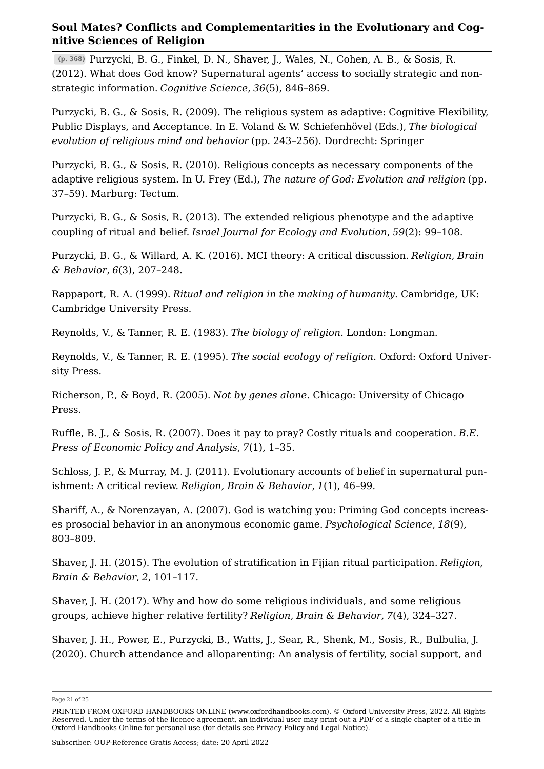<span id="page-20-3"></span>**(p. 368)** Purzycki, B. G., Finkel, D. N., Shaver, J., Wales, N., Cohen, A. B., & Sosis, R. (2012). What does God know? Supernatural agents' access to socially strategic and non‐ strategic information. *Cognitive Science*, *36*(5), 846–869.

<span id="page-20-11"></span>Purzycki, B. G., & Sosis, R. (2009). The religious system as adaptive: Cognitive Flexibility, Public Displays, and Acceptance. In E. Voland & W. Schiefenhövel (Eds.), *The biological evolution of religious mind and behavior* (pp. 243–256). Dordrecht: Springer

<span id="page-20-12"></span>Purzycki, B. G., & Sosis, R. (2010). Religious concepts as necessary components of the adaptive religious system. In U. Frey (Ed.), *The nature of God: Evolution and religion* (pp. 37–59). Marburg: Tectum.

Purzycki, B. G., & Sosis, R. (2013). The extended religious phenotype and the adaptive coupling of ritual and belief. *Israel Journal for Ecology and Evolution*, *59*(2): 99–108.

<span id="page-20-13"></span>Purzycki, B. G., & Willard, A. K. (2016). MCI theory: A critical discussion. *Religion, Brain & Behavior*, *6*(3), 207–248.

<span id="page-20-4"></span>Rappaport, R. A. (1999). *Ritual and religion in the making of humanity*. Cambridge, UK: Cambridge University Press.

<span id="page-20-0"></span>Reynolds, V., & Tanner, R. E. (1983). *The biology of religion*. London: Longman.

<span id="page-20-1"></span>Reynolds, V., & Tanner, R. E. (1995). *The social ecology of religion*. Oxford: Oxford University Press.

<span id="page-20-8"></span>Richerson, P., & Boyd, R. (2005). *Not by genes alone*. Chicago: University of Chicago Press.

<span id="page-20-5"></span>Ruffle, B. J., & Sosis, R. (2007). Does it pay to pray? Costly rituals and cooperation. *B.E. Press of Economic Policy and Analysis*, *7*(1), 1–35.

<span id="page-20-9"></span>Schloss, J. P., & Murray, M. J. (2011). Evolutionary accounts of belief in supernatural punishment: A critical review. *Religion, Brain & Behavior*, *1*(1), 46–99.

<span id="page-20-10"></span>Shariff, A., & Norenzayan, A. (2007). God is watching you: Priming God concepts increases prosocial behavior in an anonymous economic game. *Psychological Science*, *18*(9), 803–809.

<span id="page-20-2"></span>Shaver, J. H. (2015). The evolution of stratification in Fijian ritual participation. *Religion, Brain & Behavior*, *2*, 101–117.

<span id="page-20-6"></span>Shaver, J. H. (2017). Why and how do some religious individuals, and some religious groups, achieve higher relative fertility? *Religion, Brain & Behavior*, *7*(4), 324–327.

<span id="page-20-7"></span>Shaver, J. H., Power, E., Purzycki, B., Watts, J., Sear, R., Shenk, M., Sosis, R., Bulbulia, J. (2020). Church attendance and alloparenting: An analysis of fertility, social support, and

Page 21 of 25

PRINTED FROM OXFORD HANDBOOKS ONLINE (www.oxfordhandbooks.com). © Oxford University Press, 2022. All Rights Reserved. Under the terms of the licence agreement, an individual user may print out a PDF of a single chapter of a title in Oxford Handbooks Online for personal use (for details see [Privacy Policy](https://global.oup.com/privacy) and [Legal Notice\)](https://www.oxfordhandbooks.com/page/legal-notice).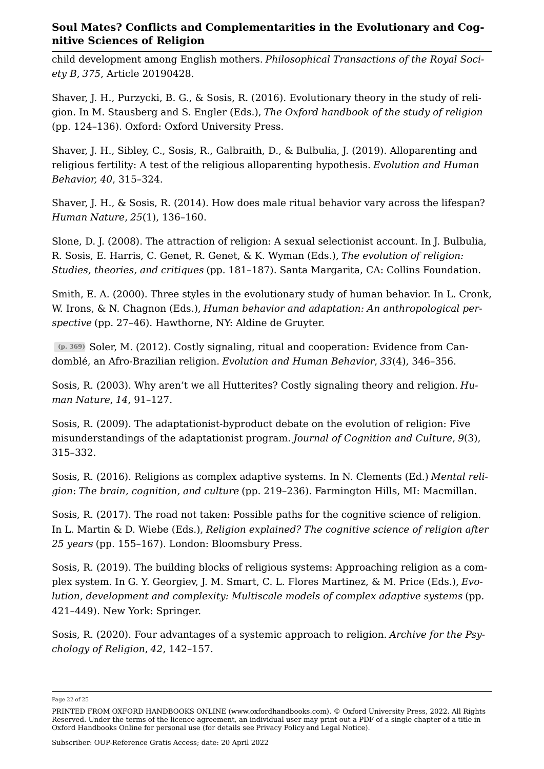child development among English mothers. *Philosophical Transactions of the Royal Society B*, *375*, Article 20190428.

<span id="page-21-2"></span>Shaver, J. H., Purzycki, B. G., & Sosis, R. (2016). Evolutionary theory in the study of religion. In M. Stausberg and S. Engler (Eds.), *The Oxford handbook of the study of religion* (pp. 124–136). Oxford: Oxford University Press.

<span id="page-21-5"></span>Shaver, J. H., Sibley, C., Sosis, R., Galbraith, D., & Bulbulia, J. (2019). Alloparenting and religious fertility: A test of the religious alloparenting hypothesis. *Evolution and Human Behavior, 40*, 315–324.

<span id="page-21-0"></span>Shaver, J. H., & Sosis, R. (2014). How does male ritual behavior vary across the lifespan? *Human Nature*, *25*(1), 136–160.

<span id="page-21-3"></span>Slone, D. J. (2008). The attraction of religion: A sexual selectionist account. In J. Bulbulia, R. Sosis, E. Harris, C. Genet, R. Genet, & K. Wyman (Eds.), *The evolution of religion: Studies, theories, and critiques* (pp. 181–187). Santa Margarita, CA: Collins Foundation.

<span id="page-21-1"></span>Smith, E. A. (2000). Three styles in the evolutionary study of human behavior. In L. Cronk, W. Irons, & N. Chagnon (Eds.), *Human behavior and adaptation: An anthropological perspective* (pp. 27–46). Hawthorne, NY: Aldine de Gruyter.

<span id="page-21-4"></span>**(p. 369)** Soler, M. (2012). Costly signaling, ritual and cooperation: Evidence from Candomblé, an Afro-Brazilian religion. *Evolution and Human Behavior*, *33*(4), 346–356.

<span id="page-21-7"></span>Sosis, R. (2003). Why aren't we all Hutterites? Costly signaling theory and religion. *Human Nature*, *14*, 91–127.

<span id="page-21-8"></span>Sosis, R. (2009). The adaptationist-byproduct debate on the evolution of religion: Five misunderstandings of the adaptationist program. *Journal of Cognition and Culture*, *9*(3), 315–332.

<span id="page-21-9"></span>Sosis, R. (2016). Religions as complex adaptive systems. In N. Clements (Ed.) *Mental religion*: *The brain, cognition, and culture* (pp. 219–236). Farmington Hills, MI: Macmillan.

<span id="page-21-6"></span>Sosis, R. (2017). The road not taken: Possible paths for the cognitive science of religion. In L. Martin & D. Wiebe (Eds.), *Religion explained? The cognitive science of religion after 25 years* (pp. 155–167). London: Bloomsbury Press.

<span id="page-21-10"></span>Sosis, R. (2019). The building blocks of religious systems: Approaching religion as a complex system. In G. Y. Georgiev, J. M. Smart, C. L. Flores Martinez, & M. Price (Eds.), *Evolution, development and complexity: Multiscale models of complex adaptive systems* (pp. 421–449). New York: Springer.

<span id="page-21-11"></span>Sosis, R. (2020). Four advantages of a systemic approach to religion. *Archive for the Psychology of Religion*, *42*, 142–157.

Page 22 of 25

PRINTED FROM OXFORD HANDBOOKS ONLINE (www.oxfordhandbooks.com). © Oxford University Press, 2022. All Rights Reserved. Under the terms of the licence agreement, an individual user may print out a PDF of a single chapter of a title in Oxford Handbooks Online for personal use (for details see [Privacy Policy](https://global.oup.com/privacy) and [Legal Notice\)](https://www.oxfordhandbooks.com/page/legal-notice).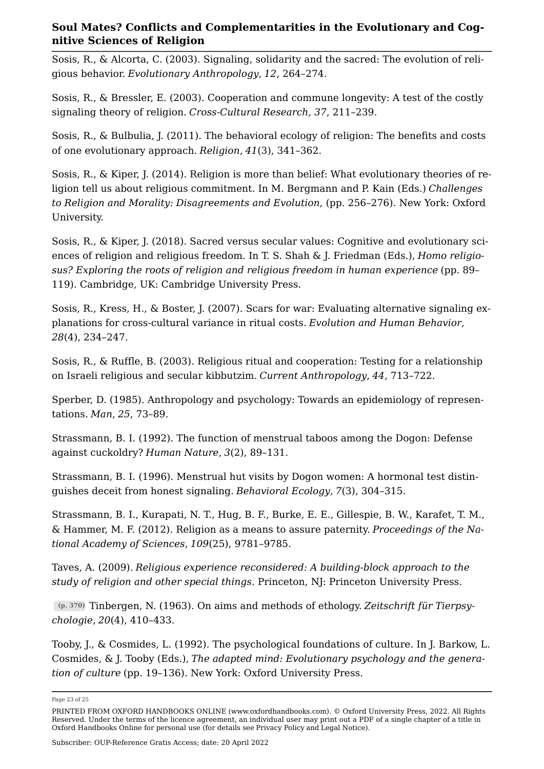<span id="page-22-10"></span>Sosis, R., & Alcorta, C. (2003). Signaling, solidarity and the sacred: The evolution of religious behavior. *Evolutionary Anthropology*, *12*, 264–274.

<span id="page-22-3"></span>Sosis, R., & Bressler, E. (2003). Cooperation and commune longevity: A test of the costly signaling theory of religion. *Cross-Cultural Research, 37*, 211–239.

<span id="page-22-2"></span>Sosis, R., & Bulbulia, J. (2011). The behavioral ecology of religion: The benefits and costs of one evolutionary approach. *Religion*, *41*(3), 341–362.

<span id="page-22-12"></span>Sosis, R., & Kiper, J. (2014). Religion is more than belief: What evolutionary theories of religion tell us about religious commitment. In M. Bergmann and P. Kain (Eds.) *Challenges to Religion and Morality: Disagreements and Evolution*, (pp. 256–276). New York: Oxford University.

<span id="page-22-11"></span>Sosis, R., & Kiper, J. (2018). Sacred versus secular values: Cognitive and evolutionary sciences of religion and religious freedom. In T. S. Shah & J. Friedman (Eds.), *Homo religiosus? Exploring the roots of religion and religious freedom in human experience* (pp. 89– 119). Cambridge, UK: Cambridge University Press.

<span id="page-22-4"></span>Sosis, R., Kress, H., & Boster, J. (2007). Scars for war: Evaluating alternative signaling explanations for cross-cultural variance in ritual costs. *Evolution and Human Behavior*, *28*(4), 234–247.

<span id="page-22-5"></span>Sosis, R., & Ruffle, B. (2003). Religious ritual and cooperation: Testing for a relationship on Israeli religious and secular kibbutzim. *Current Anthropology*, *44*, 713–722.

<span id="page-22-0"></span>Sperber, D. (1985). Anthropology and psychology: Towards an epidemiology of representations. *Man*, *25*, 73–89.

<span id="page-22-6"></span>Strassmann, B. I. (1992). The function of menstrual taboos among the Dogon: Defense against cuckoldry? *Human Nature*, *3*(2), 89–131.

<span id="page-22-7"></span>Strassmann, B. I. (1996). Menstrual hut visits by Dogon women: A hormonal test distinguishes deceit from honest signaling. *Behavioral Ecology*, *7*(3), 304–315.

<span id="page-22-8"></span>Strassmann, B. I., Kurapati, N. T., Hug, B. F., Burke, E. E., Gillespie, B. W., Karafet, T. M., & Hammer, M. F. (2012). Religion as a means to assure paternity. *Proceedings of the National Academy of Sciences*, *109*(25), 9781–9785.

<span id="page-22-13"></span>Taves, A. (2009). *Religious experience reconsidered: A building-block approach to the study of religion and other special things*. Princeton, NJ: Princeton University Press.

<span id="page-22-9"></span>**(p. 370)** Tinbergen, N. (1963). On aims and methods of ethology. *Zeitschrift für Tierpsychologie*, *20*(4), 410–433.

<span id="page-22-1"></span>Tooby, J., & Cosmides, L. (1992). The psychological foundations of culture. In J. Barkow, L. Cosmides, & J. Tooby (Eds.), *The adapted mind: Evolutionary psychology and the generation of culture* (pp. 19–136). New York: Oxford University Press.

Page 23 of 25

PRINTED FROM OXFORD HANDBOOKS ONLINE (www.oxfordhandbooks.com). © Oxford University Press, 2022. All Rights Reserved. Under the terms of the licence agreement, an individual user may print out a PDF of a single chapter of a title in Oxford Handbooks Online for personal use (for details see [Privacy Policy](https://global.oup.com/privacy) and [Legal Notice\)](https://www.oxfordhandbooks.com/page/legal-notice).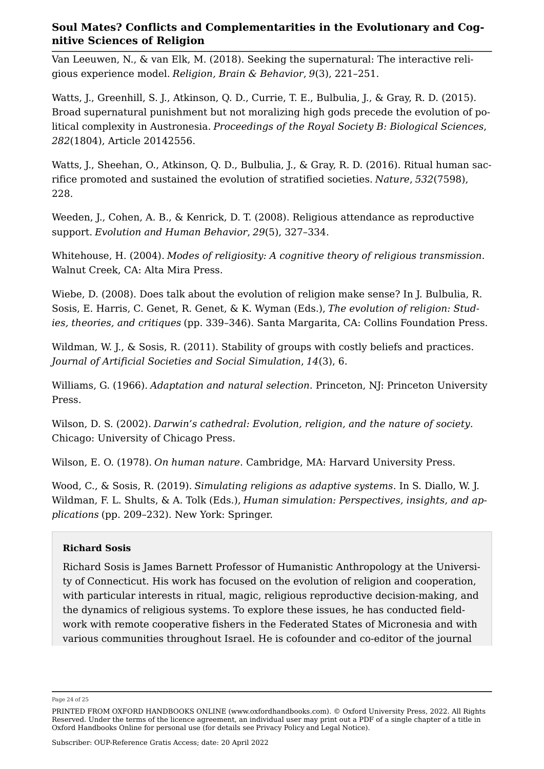<span id="page-23-3"></span>Van Leeuwen, N., & van Elk, M. (2018). Seeking the supernatural: The interactive religious experience model. *Religion, Brain & Behavior*, *9*(3), 221–251.

<span id="page-23-5"></span>Watts, J., Greenhill, S. J., Atkinson, Q. D., Currie, T. E., Bulbulia, J., & Gray, R. D. (2015). Broad supernatural punishment but not moralizing high gods precede the evolution of political complexity in Austronesia. *Proceedings of the Royal Society B: Biological Sciences*, *282*(1804), Article 20142556.

<span id="page-23-6"></span>Watts, J., Sheehan, O., Atkinson, Q. D., Bulbulia, J., & Gray, R. D. (2016). Ritual human sacrifice promoted and sustained the evolution of stratified societies. *Nature*, *532*(7598), 228.

Weeden, J., Cohen, A. B., & Kenrick, D. T. (2008). Religious attendance as reproductive support. *Evolution and Human Behavior*, *29*(5), 327–334.

<span id="page-23-7"></span>Whitehouse, H. (2004). *Modes of religiosity: A cognitive theory of religious transmission*. Walnut Creek, CA: Alta Mira Press.

<span id="page-23-8"></span>Wiebe, D. (2008). Does talk about the evolution of religion make sense? In J. Bulbulia, R. Sosis, E. Harris, C. Genet, R. Genet, & K. Wyman (Eds.), *The evolution of religion: Studies, theories, and critiques* (pp. 339–346). Santa Margarita, CA: Collins Foundation Press.

<span id="page-23-2"></span>Wildman, W. J., & Sosis, R. (2011). Stability of groups with costly beliefs and practices. *Journal of Artificial Societies and Social Simulation*, *14*(3), 6.

<span id="page-23-4"></span>Williams, G. (1966). *Adaptation and natural selection*. Princeton, NJ: Princeton University Press.

<span id="page-23-1"></span>Wilson, D. S. (2002). *Darwin's cathedral: Evolution, religion, and the nature of society*. Chicago: University of Chicago Press.

<span id="page-23-0"></span>Wilson, E. O. (1978). *On human nature*. Cambridge, MA: Harvard University Press.

Wood, C., & Sosis, R. (2019). *Simulating religions as adaptive systems*. In S. Diallo, W. J. Wildman, F. L. Shults, & A. Tolk (Eds.), *Human simulation: Perspectives, insights, and applications* (pp. 209–232). New York: Springer.

#### **Richard Sosis**

Richard Sosis is James Barnett Professor of Humanistic Anthropology at the University of Connecticut. His work has focused on the evolution of religion and cooperation, with particular interests in ritual, magic, religious reproductive decision-making, and the dynamics of religious systems. To explore these issues, he has conducted fieldwork with remote cooperative fishers in the Federated States of Micronesia and with various communities throughout Israel. He is cofounder and co-editor of the journal

Page 24 of 25

PRINTED FROM OXFORD HANDBOOKS ONLINE (www.oxfordhandbooks.com). © Oxford University Press, 2022. All Rights Reserved. Under the terms of the licence agreement, an individual user may print out a PDF of a single chapter of a title in Oxford Handbooks Online for personal use (for details see [Privacy Policy](https://global.oup.com/privacy) and [Legal Notice\)](https://www.oxfordhandbooks.com/page/legal-notice).